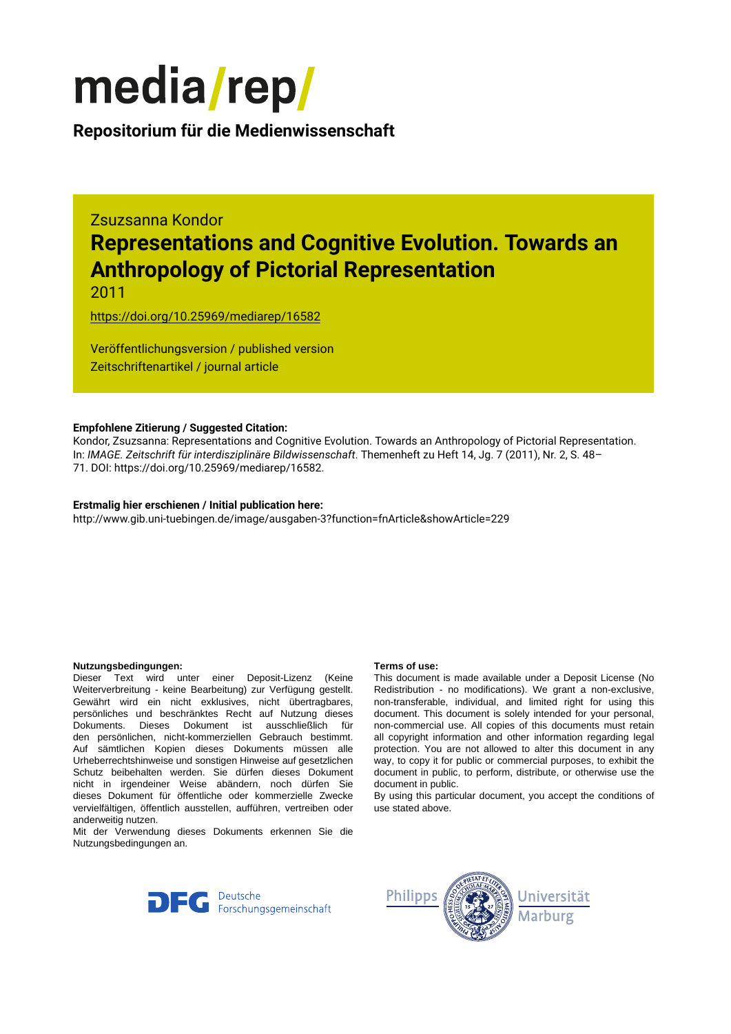

### **Repositorium für die [Medienwissenschaft](https://mediarep.org)**

# Zsuzsanna Kondor **Representations and Cognitive Evolution. Towards an Anthropology of Pictorial Representation**

2011

<https://doi.org/10.25969/mediarep/16582>

Veröffentlichungsversion / published version Zeitschriftenartikel / journal article

#### **Empfohlene Zitierung / Suggested Citation:**

Kondor, Zsuzsanna: Representations and Cognitive Evolution. Towards an Anthropology of Pictorial Representation. In: *IMAGE. Zeitschrift für interdisziplinäre Bildwissenschaft*. Themenheft zu Heft 14, Jg. 7 (2011), Nr. 2, S. 48– 71. DOI: https://doi.org/10.25969/mediarep/16582.

#### **Erstmalig hier erschienen / Initial publication here:**

http://www.gib.uni-tuebingen.de/image/ausgaben-3?function=fnArticle&showArticle=229

#### **Nutzungsbedingungen: Terms of use:**

Dieser Text wird unter einer Deposit-Lizenz (Keine Weiterverbreitung - keine Bearbeitung) zur Verfügung gestellt. Gewährt wird ein nicht exklusives, nicht übertragbares, persönliches und beschränktes Recht auf Nutzung dieses Dokuments. Dieses Dokument ist ausschließlich für den persönlichen, nicht-kommerziellen Gebrauch bestimmt. Auf sämtlichen Kopien dieses Dokuments müssen alle Urheberrechtshinweise und sonstigen Hinweise auf gesetzlichen Schutz beibehalten werden. Sie dürfen dieses Dokument nicht in irgendeiner Weise abändern, noch dürfen Sie dieses Dokument für öffentliche oder kommerzielle Zwecke vervielfältigen, öffentlich ausstellen, aufführen, vertreiben oder anderweitig nutzen.

Mit der Verwendung dieses Dokuments erkennen Sie die Nutzungsbedingungen an.

This document is made available under a Deposit License (No Redistribution - no modifications). We grant a non-exclusive, non-transferable, individual, and limited right for using this document. This document is solely intended for your personal, non-commercial use. All copies of this documents must retain all copyright information and other information regarding legal protection. You are not allowed to alter this document in any way, to copy it for public or commercial purposes, to exhibit the document in public, to perform, distribute, or otherwise use the document in public.

By using this particular document, you accept the conditions of use stated above.



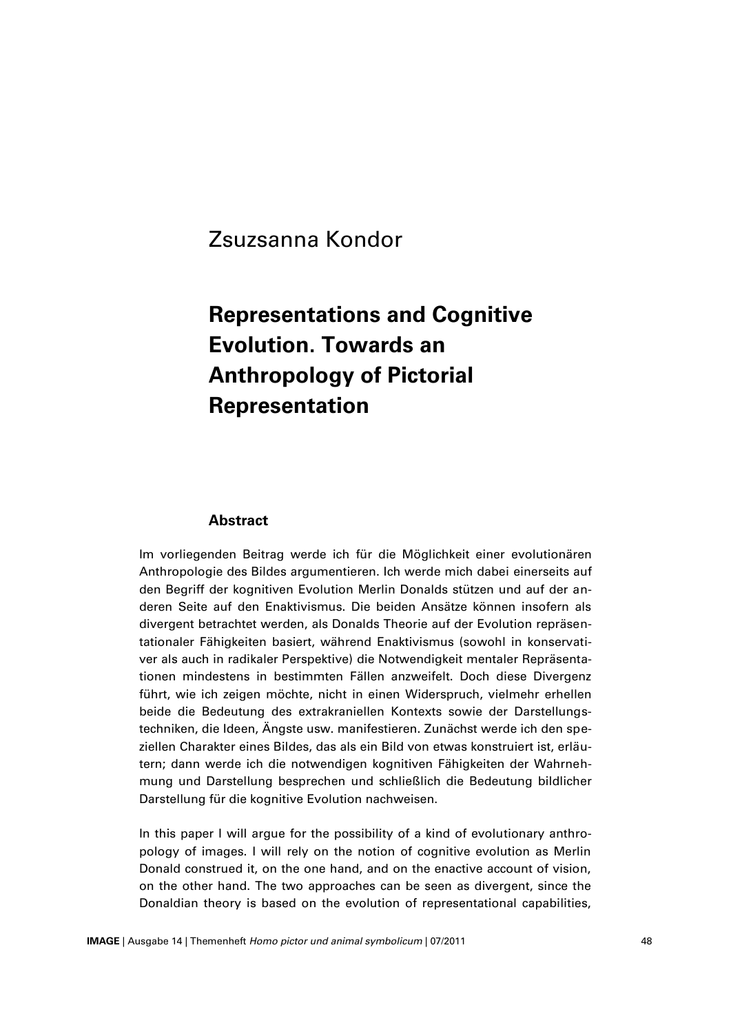# Zsuzsanna Kondor

# **Representations and Cognitive Evolution. Towards an Anthropology of Pictorial Representation**

#### **Abstract**

Im vorliegenden Beitrag werde ich für die Möglichkeit einer evolutionären Anthropologie des Bildes argumentieren. Ich werde mich dabei einerseits auf den Begriff der kognitiven Evolution Merlin Donalds stützen und auf der anderen Seite auf den Enaktivismus. Die beiden Ansätze können insofern als divergent betrachtet werden, als Donalds Theorie auf der Evolution repräsentationaler Fähigkeiten basiert, während Enaktivismus (sowohl in konservativer als auch in radikaler Perspektive) die Notwendigkeit mentaler Repräsentationen mindestens in bestimmten Fällen anzweifelt. Doch diese Divergenz führt, wie ich zeigen möchte, nicht in einen Widerspruch, vielmehr erhellen beide die Bedeutung des extrakraniellen Kontexts sowie der Darstellungstechniken, die Ideen, Ängste usw. manifestieren. Zunächst werde ich den speziellen Charakter eines Bildes, das als ein Bild von etwas konstruiert ist, erläutern; dann werde ich die notwendigen kognitiven Fähigkeiten der Wahrnehmung und Darstellung besprechen und schließlich die Bedeutung bildlicher Darstellung für die kognitive Evolution nachweisen.

In this paper I will argue for the possibility of a kind of evolutionary anthropology of images. I will rely on the notion of cognitive evolution as Merlin Donald construed it, on the one hand, and on the enactive account of vision, on the other hand. The two approaches can be seen as divergent, since the Donaldian theory is based on the evolution of representational capabilities,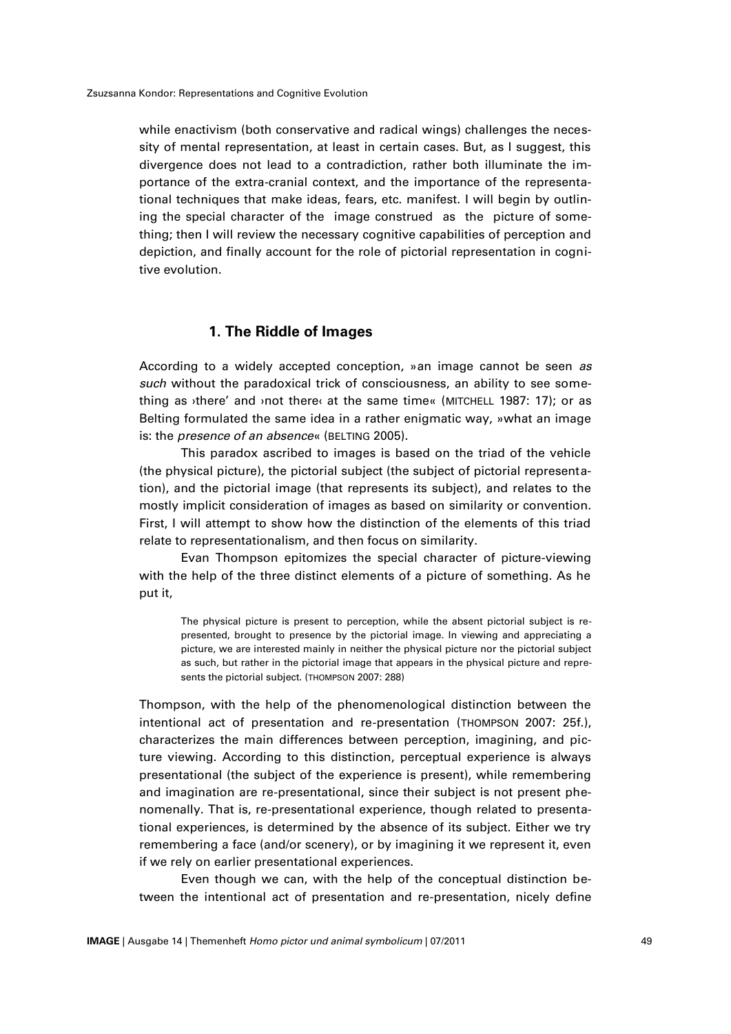while enactivism (both conservative and radical wings) challenges the necessity of mental representation, at least in certain cases. But, as I suggest, this divergence does not lead to a contradiction, rather both illuminate the importance of the extra-cranial context, and the importance of the representational techniques that make ideas, fears, etc. manifest. I will begin by outlining the special character of the image construed as the picture of something; then I will review the necessary cognitive capabilities of perception and depiction, and finally account for the role of pictorial representation in cognitive evolution.

#### **1. The Riddle of Images**

According to a widely accepted conception, »an image cannot be seen *as such* without the paradoxical trick of consciousness, an ability to see something as ›there' and ›not there‹ at the same time« (MITCHELL 1987: 17); or as Belting formulated the same idea in a rather enigmatic way, »what an image is: the *presence of an absence*« (BELTING 2005).

This paradox ascribed to images is based on the triad of the vehicle (the physical picture), the pictorial subject (the subject of pictorial representation), and the pictorial image (that represents its subject), and relates to the mostly implicit consideration of images as based on similarity or convention. First, I will attempt to show how the distinction of the elements of this triad relate to representationalism, and then focus on similarity.

Evan Thompson epitomizes the special character of picture-viewing with the help of the three distinct elements of a picture of something. As he put it,

The physical picture is present to perception, while the absent pictorial subject is represented, brought to presence by the pictorial image. In viewing and appreciating a picture, we are interested mainly in neither the physical picture nor the pictorial subject as such, but rather in the pictorial image that appears in the physical picture and represents the pictorial subject. (THOMPSON 2007: 288)

Thompson, with the help of the phenomenological distinction between the intentional act of presentation and re-presentation (THOMPSON 2007: 25f.), characterizes the main differences between perception, imagining, and picture viewing. According to this distinction, perceptual experience is always presentational (the subject of the experience is present), while remembering and imagination are re-presentational, since their subject is not present phenomenally. That is, re-presentational experience, though related to presentational experiences, is determined by the absence of its subject. Either we try remembering a face (and/or scenery), or by imagining it we represent it, even if we rely on earlier presentational experiences.

Even though we can, with the help of the conceptual distinction between the intentional act of presentation and re-presentation, nicely define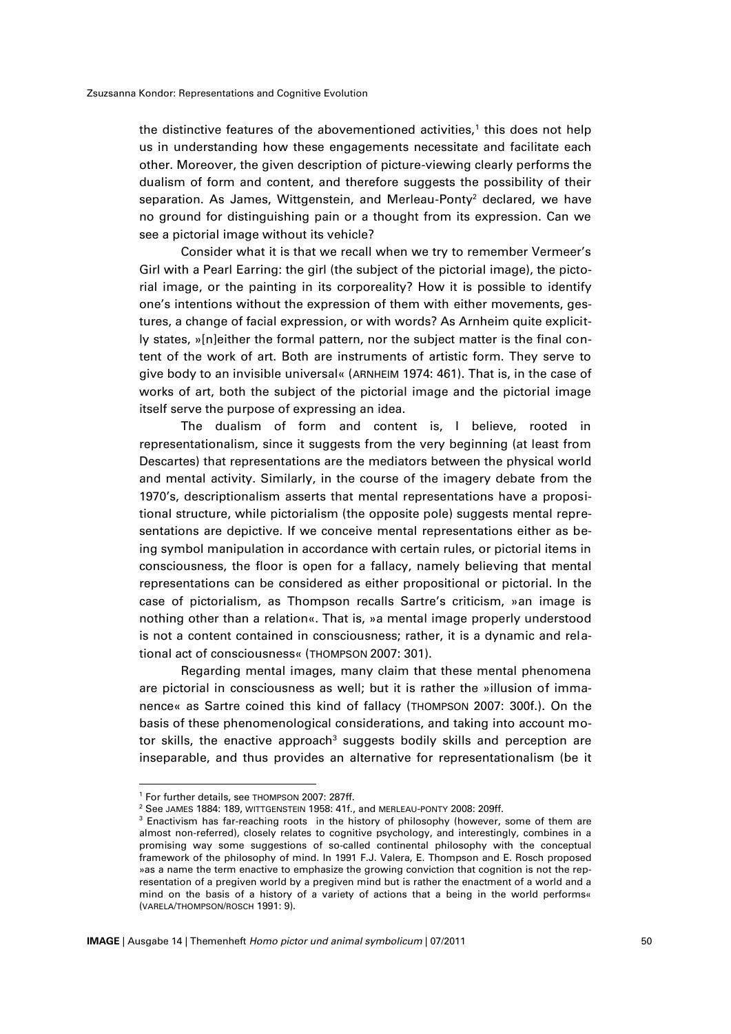the distinctive features of the abovementioned activities,<sup>1</sup> this does not help us in understanding how these engagements necessitate and facilitate each other. Moreover, the given description of picture-viewing clearly performs the dualism of form and content, and therefore suggests the possibility of their separation. As James, Wittgenstein, and Merleau-Ponty<sup>2</sup> declared, we have no ground for distinguishing pain or a thought from its expression. Can we see a pictorial image without its vehicle?

Consider what it is that we recall when we try to remember Vermeer's Girl with a Pearl Earring: the girl (the subject of the pictorial image), the pictorial image, or the painting in its corporeality? How it is possible to identify one's intentions without the expression of them with either movements, gestures, a change of facial expression, or with words? As Arnheim quite explicitly states, »[n]either the formal pattern, nor the subject matter is the final content of the work of art. Both are instruments of artistic form. They serve to give body to an invisible universal« (ARNHEIM 1974: 461). That is, in the case of works of art, both the subject of the pictorial image and the pictorial image itself serve the purpose of expressing an idea.

The dualism of form and content is, I believe, rooted in representationalism, since it suggests from the very beginning (at least from Descartes) that representations are the mediators between the physical world and mental activity. Similarly, in the course of the imagery debate from the 1970's, descriptionalism asserts that mental representations have a propositional structure, while pictorialism (the opposite pole) suggests mental representations are depictive. If we conceive mental representations either as being symbol manipulation in accordance with certain rules, or pictorial items in consciousness, the floor is open for a fallacy, namely believing that mental representations can be considered as either propositional or pictorial. In the case of pictorialism, as Thompson recalls Sartre's criticism, »an image is nothing other than a relation«. That is, »a mental image properly understood is not a content contained in consciousness; rather, it is a dynamic and relational act of consciousness« (THOMPSON 2007: 301).

Regarding mental images, many claim that these mental phenomena are pictorial in consciousness as well; but it is rather the »illusion of immanence« as Sartre coined this kind of fallacy (THOMPSON 2007: 300f.). On the basis of these phenomenological considerations, and taking into account motor skills, the enactive approach<sup>3</sup> suggests bodily skills and perception are inseparable, and thus provides an alternative for representationalism (be it

<sup>1</sup> For further details, see THOMPSON 2007: 287ff.

<sup>2</sup> See JAMES 1884: 189, WITTGENSTEIN 1958: 41f., and MERLEAU-PONTY 2008: 209ff.

<sup>&</sup>lt;sup>3</sup> Enactivism has far-reaching roots in the history of philosophy (however, some of them are almost non-referred), closely relates to cognitive psychology, and interestingly, combines in a promising way some suggestions of so-called continental philosophy with the conceptual framework of the philosophy of mind. In 1991 F.J. Valera, E. Thompson and E. Rosch proposed »as a name the term enactive to emphasize the growing conviction that cognition is not the representation of a pregiven world by a pregiven mind but is rather the enactment of a world and a mind on the basis of a history of a variety of actions that a being in the world performs« (VARELA/THOMPSON/ROSCH 1991: 9).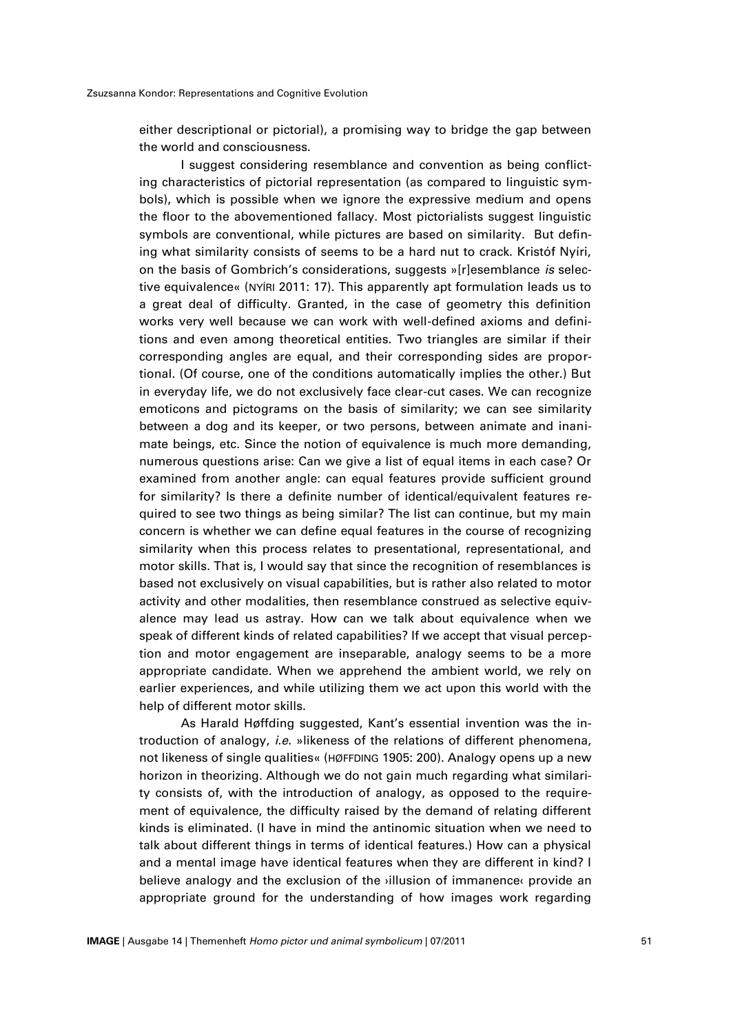either descriptional or pictorial), a promising way to bridge the gap between the world and consciousness.

I suggest considering resemblance and convention as being conflicting characteristics of pictorial representation (as compared to linguistic symbols), which is possible when we ignore the expressive medium and opens the floor to the abovementioned fallacy. Most pictorialists suggest linguistic symbols are conventional, while pictures are based on similarity. But defining what similarity consists of seems to be a hard nut to crack. Kristóf Nyíri, on the basis of Gombrich's considerations, suggests »[r]esemblance *is* selective equivalence« (NYÍRI 2011: 17). This apparently apt formulation leads us to a great deal of difficulty. Granted, in the case of geometry this definition works very well because we can work with well-defined axioms and definitions and even among theoretical entities. Two triangles are similar if their corresponding angles are equal, and their corresponding sides are proportional. (Of course, one of the conditions automatically implies the other.) But in everyday life, we do not exclusively face clear-cut cases. We can recognize emoticons and pictograms on the basis of similarity; we can see similarity between a dog and its keeper, or two persons, between animate and inanimate beings, etc. Since the notion of equivalence is much more demanding, numerous questions arise: Can we give a list of equal items in each case? Or examined from another angle: can equal features provide sufficient ground for similarity? Is there a definite number of identical/equivalent features required to see two things as being similar? The list can continue, but my main concern is whether we can define equal features in the course of recognizing similarity when this process relates to presentational, representational, and motor skills. That is, I would say that since the recognition of resemblances is based not exclusively on visual capabilities, but is rather also related to motor activity and other modalities, then resemblance construed as selective equivalence may lead us astray. How can we talk about equivalence when we speak of different kinds of related capabilities? If we accept that visual perception and motor engagement are inseparable, analogy seems to be a more appropriate candidate. When we apprehend the ambient world, we rely on earlier experiences, and while utilizing them we act upon this world with the help of different motor skills.

As Harald Høffding suggested, Kant's essential invention was the introduction of analogy, *i.e*. »likeness of the relations of different phenomena, not likeness of single qualities« (HØFFDING 1905: 200). Analogy opens up a new horizon in theorizing. Although we do not gain much regarding what similarity consists of, with the introduction of analogy, as opposed to the requirement of equivalence, the difficulty raised by the demand of relating different kinds is eliminated. (I have in mind the antinomic situation when we need to talk about different things in terms of identical features.) How can a physical and a mental image have identical features when they are different in kind? I believe analogy and the exclusion of the ›illusion of immanence‹ provide an appropriate ground for the understanding of how images work regarding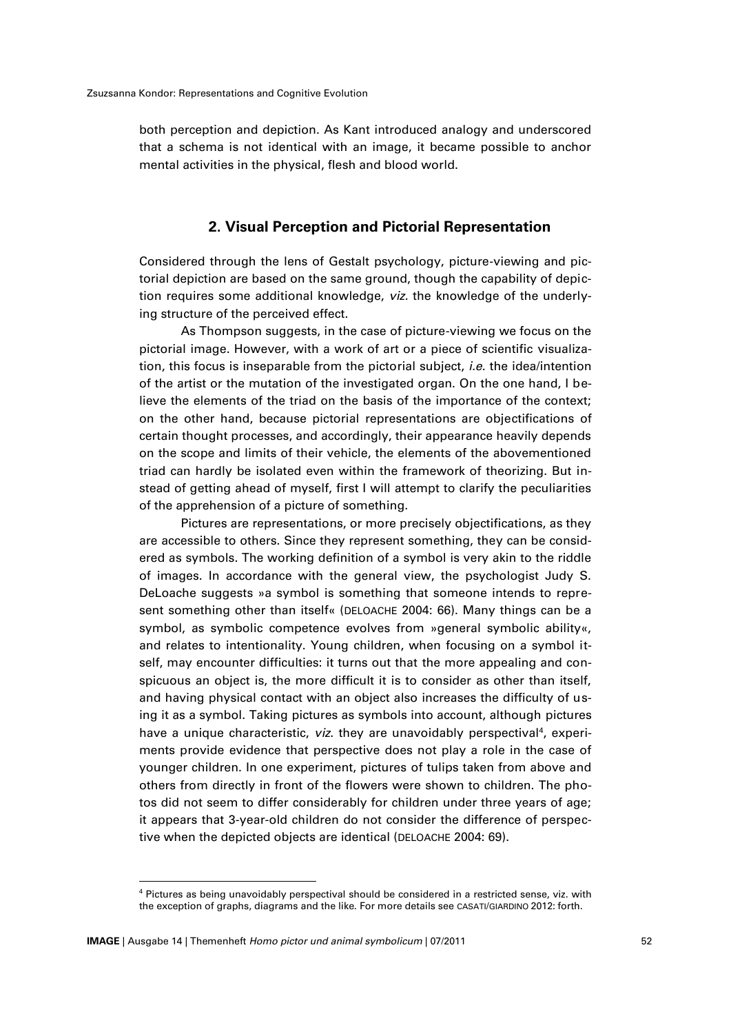both perception and depiction. As Kant introduced analogy and underscored that a schema is not identical with an image, it became possible to anchor mental activities in the physical, flesh and blood world.

#### **2. Visual Perception and Pictorial Representation**

Considered through the lens of Gestalt psychology, picture-viewing and pictorial depiction are based on the same ground, though the capability of depiction requires some additional knowledge, *viz.* the knowledge of the underlying structure of the perceived effect.

As Thompson suggests, in the case of picture-viewing we focus on the pictorial image. However, with a work of art or a piece of scientific visualization, this focus is inseparable from the pictorial subject, *i.e*. the idea/intention of the artist or the mutation of the investigated organ. On the one hand, I believe the elements of the triad on the basis of the importance of the context; on the other hand, because pictorial representations are objectifications of certain thought processes, and accordingly, their appearance heavily depends on the scope and limits of their vehicle, the elements of the abovementioned triad can hardly be isolated even within the framework of theorizing. But instead of getting ahead of myself, first I will attempt to clarify the peculiarities of the apprehension of a picture of something.

Pictures are representations, or more precisely objectifications, as they are accessible to others. Since they represent something, they can be considered as symbols. The working definition of a symbol is very akin to the riddle of images. In accordance with the general view, the psychologist Judy S. DeLoache suggests »a symbol is something that someone intends to represent something other than itself« (DELOACHE 2004: 66). Many things can be a symbol, as symbolic competence evolves from »general symbolic ability«, and relates to intentionality. Young children, when focusing on a symbol itself, may encounter difficulties: it turns out that the more appealing and conspicuous an object is, the more difficult it is to consider as other than itself, and having physical contact with an object also increases the difficulty of using it as a symbol. Taking pictures as symbols into account, although pictures have a unique characteristic, *viz*. they are unavoidably perspectival<sup>4</sup>, experiments provide evidence that perspective does not play a role in the case of younger children. In one experiment, pictures of tulips taken from above and others from directly in front of the flowers were shown to children. The photos did not seem to differ considerably for children under three years of age; it appears that 3-year-old children do not consider the difference of perspective when the depicted objects are identical (DELOACHE 2004: 69).

<sup>4</sup> Pictures as being unavoidably perspectival should be considered in a restricted sense, viz. with the exception of graphs, diagrams and the like. For more details see CASATI/GIARDINO 2012: forth.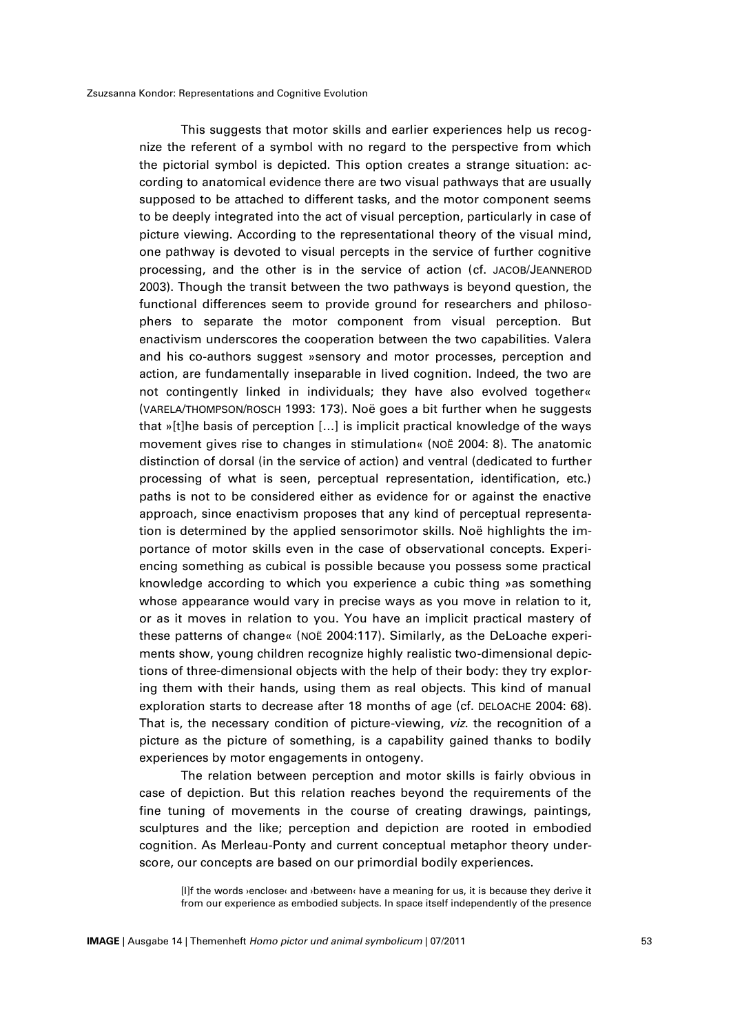This suggests that motor skills and earlier experiences help us recognize the referent of a symbol with no regard to the perspective from which the pictorial symbol is depicted. This option creates a strange situation: according to anatomical evidence there are two visual pathways that are usually supposed to be attached to different tasks, and the motor component seems to be deeply integrated into the act of visual perception, particularly in case of picture viewing. According to the representational theory of the visual mind, one pathway is devoted to visual percepts in the service of further cognitive processing, and the other is in the service of action (cf. JACOB/JEANNEROD 2003). Though the transit between the two pathways is beyond question, the functional differences seem to provide ground for researchers and philosophers to separate the motor component from visual perception. But enactivism underscores the cooperation between the two capabilities. Valera and his co-authors suggest »sensory and motor processes, perception and action, are fundamentally inseparable in lived cognition. Indeed, the two are not contingently linked in individuals; they have also evolved together« (VARELA/THOMPSON/ROSCH 1993: 173). Noë goes a bit further when he suggests that »[t]he basis of perception […] is implicit practical knowledge of the ways movement gives rise to changes in stimulation« (NOË 2004: 8). The anatomic distinction of dorsal (in the service of action) and ventral (dedicated to further processing of what is seen, perceptual representation, identification, etc.) paths is not to be considered either as evidence for or against the enactive approach, since enactivism proposes that any kind of perceptual representation is determined by the applied sensorimotor skills. Noë highlights the importance of motor skills even in the case of observational concepts. Experiencing something as cubical is possible because you possess some practical knowledge according to which you experience a cubic thing »as something whose appearance would vary in precise ways as you move in relation to it, or as it moves in relation to you. You have an implicit practical mastery of these patterns of change« (NOË 2004:117). Similarly, as the DeLoache experiments show, young children recognize highly realistic two-dimensional depictions of three-dimensional objects with the help of their body: they try exploring them with their hands, using them as real objects. This kind of manual exploration starts to decrease after 18 months of age (cf. DELOACHE 2004: 68). That is, the necessary condition of picture-viewing, *viz*. the recognition of a picture as the picture of something, is a capability gained thanks to bodily experiences by motor engagements in ontogeny.

The relation between perception and motor skills is fairly obvious in case of depiction. But this relation reaches beyond the requirements of the fine tuning of movements in the course of creating drawings, paintings, sculptures and the like; perception and depiction are rooted in embodied cognition. As Merleau-Ponty and current conceptual metaphor theory underscore, our concepts are based on our primordial bodily experiences.

[I]f the words ›enclose‹ and ›between‹ have a meaning for us, it is because they derive it from our experience as embodied subjects. In space itself independently of the presence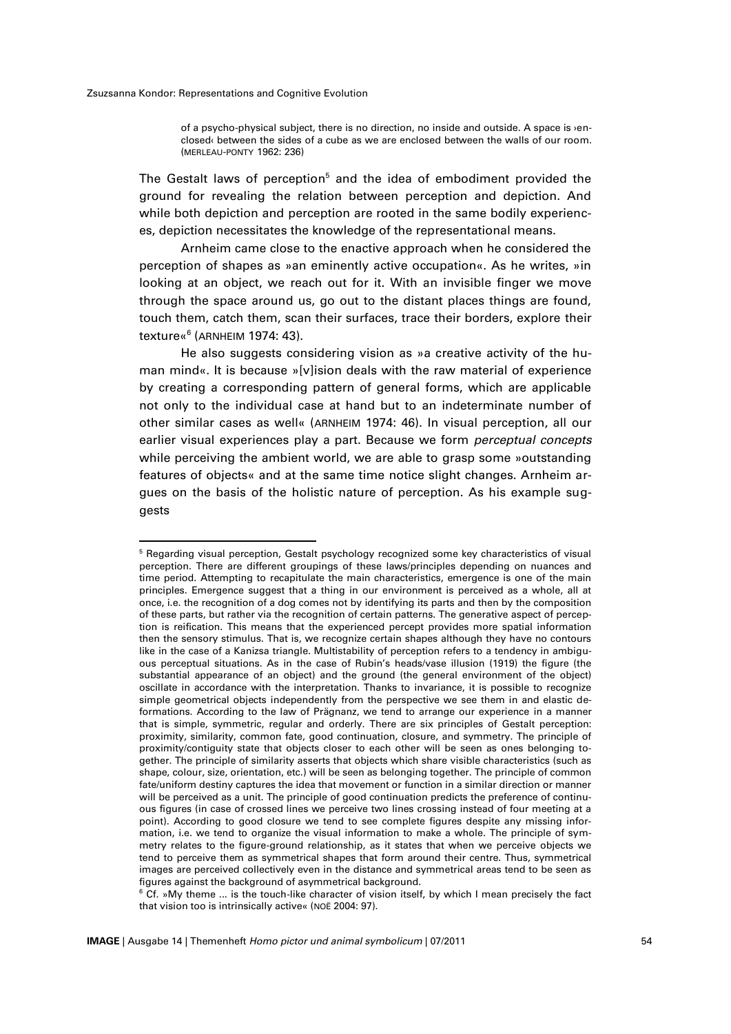1

of a psycho-physical subject, there is no direction, no inside and outside. A space is ›enclosed‹ between the sides of a cube as we are enclosed between the walls of our room. (MERLEAU-PONTY 1962: 236)

The Gestalt laws of perception <sup>5</sup> and the idea of embodiment provided the ground for revealing the relation between perception and depiction. And while both depiction and perception are rooted in the same bodily experiences, depiction necessitates the knowledge of the representational means.

Arnheim came close to the enactive approach when he considered the perception of shapes as »an eminently active occupation«. As he writes, »in looking at an object, we reach out for it. With an invisible finger we move through the space around us, go out to the distant places things are found, touch them, catch them, scan their surfaces, trace their borders, explore their texture«<sup>6</sup> (ARNHEIM 1974: 43).

He also suggests considering vision as »a creative activity of the human mind«. It is because »[v]ision deals with the raw material of experience by creating a corresponding pattern of general forms, which are applicable not only to the individual case at hand but to an indeterminate number of other similar cases as well« (ARNHEIM 1974: 46). In visual perception, all our earlier visual experiences play a part. Because we form *perceptual concepts*  while perceiving the ambient world, we are able to grasp some »outstanding features of objects« and at the same time notice slight changes. Arnheim argues on the basis of the holistic nature of perception. As his example suggests

<sup>5</sup> Regarding visual perception, Gestalt psychology recognized some key characteristics of visual perception. There are different groupings of these laws/principles depending on nuances and time period. Attempting to recapitulate the main characteristics, emergence is one of the main principles. Emergence suggest that a thing in our environment is perceived as a whole, all at once, i.e. the recognition of a dog comes not by identifying its parts and then by the composition of these parts, but rather via the recognition of certain patterns. The generative aspect of perception is reification. This means that the experienced percept provides more spatial information then the sensory stimulus. That is, we recognize certain shapes although they have no contours like in the case of a Kanizsa triangle. Multistability of perception refers to a tendency in ambiguous perceptual situations. As in the case of Rubin's heads/vase illusion (1919) the figure (the substantial appearance of an object) and the ground (the general environment of the object) oscillate in accordance with the interpretation. Thanks to invariance, it is possible to recognize simple geometrical objects independently from the perspective we see them in and elastic deformations. According to the law of Prägnanz, we tend to arrange our experience in a manner that is simple, symmetric, regular and orderly. There are six principles of Gestalt perception: proximity, similarity, common fate, good continuation, closure, and symmetry. The principle of proximity/contiguity state that objects closer to each other will be seen as ones belonging together. The principle of similarity asserts that objects which share visible characteristics (such as shape, colour, size, orientation, etc.) will be seen as belonging together. The principle of common fate/uniform destiny captures the idea that movement or function in a similar direction or manner will be perceived as a unit. The principle of good continuation predicts the preference of continuous figures (in case of crossed lines we perceive two lines crossing instead of four meeting at a point). According to good closure we tend to see complete figures despite any missing information, i.e. we tend to organize the visual information to make a whole. The principle of symmetry relates to the figure-ground relationship, as it states that when we perceive objects we tend to perceive them as symmetrical shapes that form around their centre. Thus, symmetrical images are perceived collectively even in the distance and symmetrical areas tend to be seen as figures against the background of asymmetrical background.

 $6$  Cf. »My theme ... is the touch-like character of vision itself, by which I mean precisely the fact that vision too is intrinsically active« (NOË 2004: 97).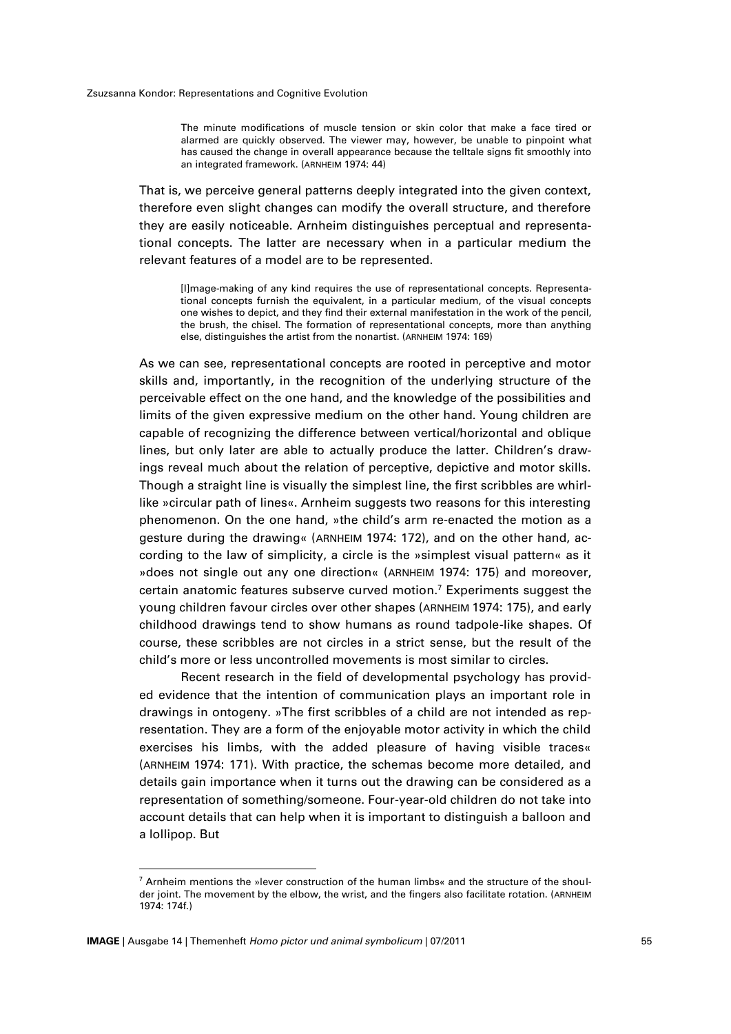The minute modifications of muscle tension or skin color that make a face tired or alarmed are quickly observed. The viewer may, however, be unable to pinpoint what has caused the change in overall appearance because the telltale signs fit smoothly into an integrated framework. (ARNHEIM 1974: 44)

That is, we perceive general patterns deeply integrated into the given context, therefore even slight changes can modify the overall structure, and therefore they are easily noticeable. Arnheim distinguishes perceptual and representational concepts. The latter are necessary when in a particular medium the relevant features of a model are to be represented.

[I]mage-making of any kind requires the use of representational concepts. Representational concepts furnish the equivalent, in a particular medium, of the visual concepts one wishes to depict, and they find their external manifestation in the work of the pencil, the brush, the chisel. The formation of representational concepts, more than anything else, distinguishes the artist from the nonartist. (ARNHEIM 1974: 169)

As we can see, representational concepts are rooted in perceptive and motor skills and, importantly, in the recognition of the underlying structure of the perceivable effect on the one hand, and the knowledge of the possibilities and limits of the given expressive medium on the other hand. Young children are capable of recognizing the difference between vertical/horizontal and oblique lines, but only later are able to actually produce the latter. Children's drawings reveal much about the relation of perceptive, depictive and motor skills. Though a straight line is visually the simplest Iine, the first scribbles are whirllike »circular path of lines«. Arnheim suggests two reasons for this interesting phenomenon. On the one hand, »the child's arm re-enacted the motion as a gesture during the drawing« (ARNHEIM 1974: 172), and on the other hand, according to the law of simplicity, a circle is the »simplest visual pattern« as it »does not single out any one direction« (ARNHEIM 1974: 175) and moreover, certain anatomic features subserve curved motion. <sup>7</sup> Experiments suggest the young children favour circles over other shapes (ARNHEIM 1974: 175), and early childhood drawings tend to show humans as round tadpole-like shapes. Of course, these scribbles are not circles in a strict sense, but the result of the child's more or less uncontrolled movements is most similar to circles.

Recent research in the field of developmental psychology has provided evidence that the intention of communication plays an important role in drawings in ontogeny. »The first scribbles of a child are not intended as representation. They are a form of the enjoyable motor activity in which the child exercises his limbs, with the added pleasure of having visible traces« (ARNHEIM 1974: 171). With practice, the schemas become more detailed, and details gain importance when it turns out the drawing can be considered as a representation of something/someone. Four-year-old children do not take into account details that can help when it is important to distinguish a balloon and a lollipop. But

 $7$  Arnheim mentions the »lever construction of the human limbs« and the structure of the shoulder joint. The movement by the elbow, the wrist, and the fingers also facilitate rotation. (ARNHEIM 1974: 174f.)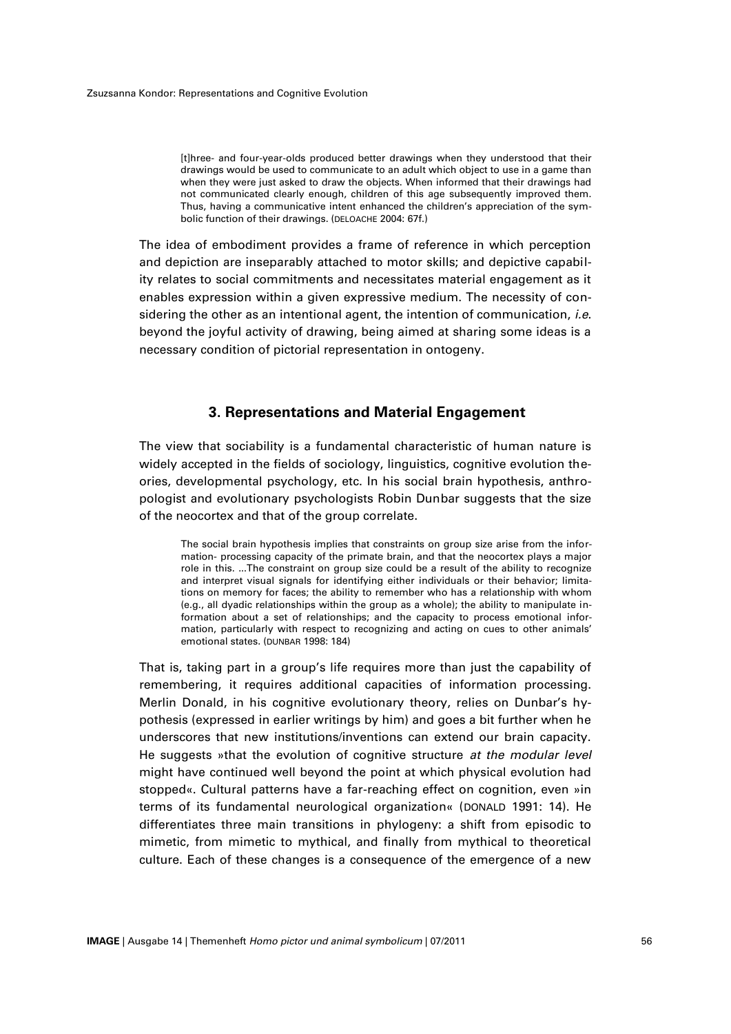[t]hree- and four-year-olds produced better drawings when they understood that their drawings would be used to communicate to an adult which object to use in a game than when they were just asked to draw the objects. When informed that their drawings had not communicated clearly enough, children of this age subsequently improved them. Thus, having a communicative intent enhanced the children's appreciation of the symbolic function of their drawings. (DELOACHE 2004: 67f.)

The idea of embodiment provides a frame of reference in which perception and depiction are inseparably attached to motor skills; and depictive capability relates to social commitments and necessitates material engagement as it enables expression within a given expressive medium. The necessity of considering the other as an intentional agent, the intention of communication, *i.e*. beyond the joyful activity of drawing, being aimed at sharing some ideas is a necessary condition of pictorial representation in ontogeny.

### **3. Representations and Material Engagement**

The view that sociability is a fundamental characteristic of human nature is widely accepted in the fields of sociology, linguistics, cognitive evolution theories, developmental psychology, etc. In his social brain hypothesis, anthropologist and evolutionary psychologists Robin Dunbar suggests that the size of the neocortex and that of the group correlate.

The social brain hypothesis implies that constraints on group size arise from the information- processing capacity of the primate brain, and that the neocortex plays a major role in this. ...The constraint on group size could be a result of the ability to recognize and interpret visual signals for identifying either individuals or their behavior; limitations on memory for faces; the ability to remember who has a relationship with whom (e.g., all dyadic relationships within the group as a whole); the ability to manipulate information about a set of relationships; and the capacity to process emotional information, particularly with respect to recognizing and acting on cues to other animals' emotional states. (DUNBAR 1998: 184)

That is, taking part in a group's life requires more than just the capability of remembering, it requires additional capacities of information processing. Merlin Donald, in his cognitive evolutionary theory, relies on Dunbar's hypothesis (expressed in earlier writings by him) and goes a bit further when he underscores that new institutions/inventions can extend our brain capacity. He suggests »that the evolution of cognitive structure *at the modular level*  might have continued well beyond the point at which physical evolution had stopped«. Cultural patterns have a far-reaching effect on cognition, even »in terms of its fundamental neurological organization« (DONALD 1991: 14). He differentiates three main transitions in phylogeny: a shift from episodic to mimetic, from mimetic to mythical, and finally from mythical to theoretical culture. Each of these changes is a consequence of the emergence of a new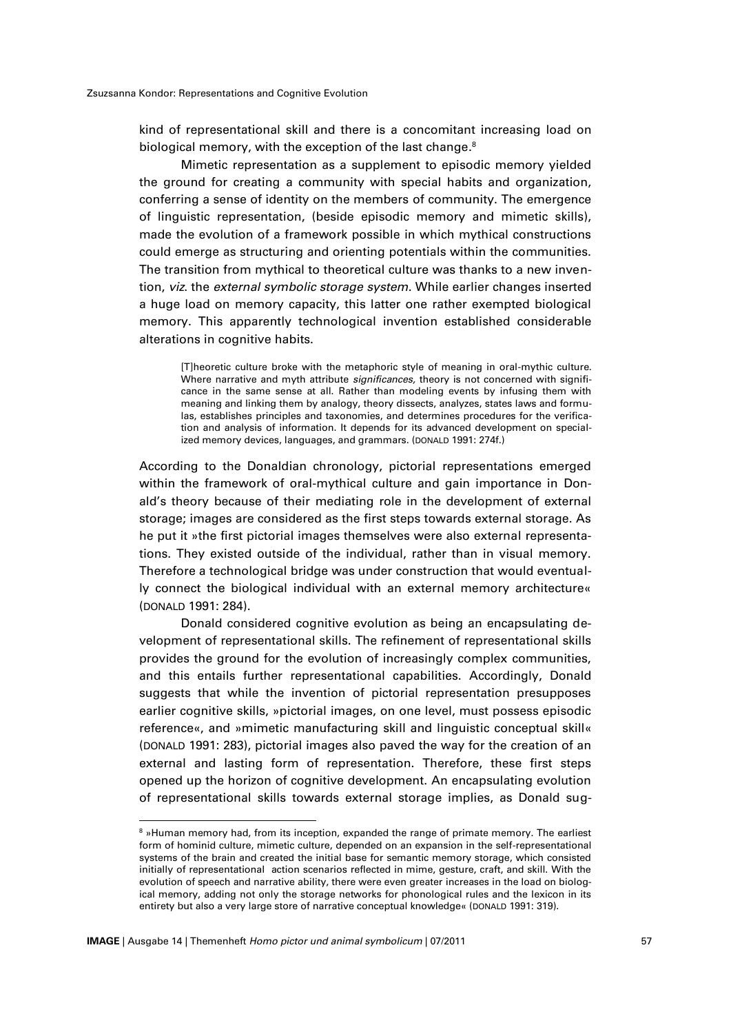kind of representational skill and there is a concomitant increasing load on biological memory, with the exception of the last change. 8

Mimetic representation as a supplement to episodic memory yielded the ground for creating a community with special habits and organization, conferring a sense of identity on the members of community. The emergence of linguistic representation, (beside episodic memory and mimetic skills), made the evolution of a framework possible in which mythical constructions could emerge as structuring and orienting potentials within the communities. The transition from mythical to theoretical culture was thanks to a new invention, *viz*. the *external symbolic storage system*. While earlier changes inserted a huge load on memory capacity, this latter one rather exempted biological memory. This apparently technological invention established considerable alterations in cognitive habits.

[T]heoretic culture broke with the metaphoric style of meaning in oral-mythic culture. Where narrative and myth attribute *significances,* theory is not concerned with significance in the same sense at all. Rather than modeling events by infusing them with meaning and linking them by analogy, theory dissects, analyzes, states laws and formulas, establishes principles and taxonomies, and determines procedures for the verification and analysis of information. It depends for its advanced development on specialized memory devices, languages, and grammars. (DONALD 1991: 274f.)

According to the Donaldian chronology, pictorial representations emerged within the framework of oral-mythical culture and gain importance in Donald's theory because of their mediating role in the development of external storage; images are considered as the first steps towards external storage. As he put it »the first pictorial images themselves were also external representations. They existed outside of the individual, rather than in visual memory. Therefore a technological bridge was under construction that would eventually connect the biological individual with an external memory architecture« (DONALD 1991: 284).

Donald considered cognitive evolution as being an encapsulating development of representational skills. The refinement of representational skills provides the ground for the evolution of increasingly complex communities, and this entails further representational capabilities. Accordingly, Donald suggests that while the invention of pictorial representation presupposes earlier cognitive skills, »pictorial images, on one level, must possess episodic reference«, and »mimetic manufacturing skill and linguistic conceptual skill« (DONALD 1991: 283), pictorial images also paved the way for the creation of an external and lasting form of representation. Therefore, these first steps opened up the horizon of cognitive development. An encapsulating evolution of representational skills towards external storage implies, as Donald sug-

<sup>&</sup>lt;sup>8</sup> »Human memory had, from its inception, expanded the range of primate memory. The earliest form of hominid culture, mimetic culture, depended on an expansion in the self-representational systems of the brain and created the initial base for semantic memory storage, which consisted initially of representational action scenarios reflected in mime, gesture, craft, and skill. With the evolution of speech and narrative ability, there were even greater increases in the load on biological memory, adding not only the storage networks for phonological rules and the lexicon in its entirety but also a very large store of narrative conceptual knowledge« (DONALD 1991: 319).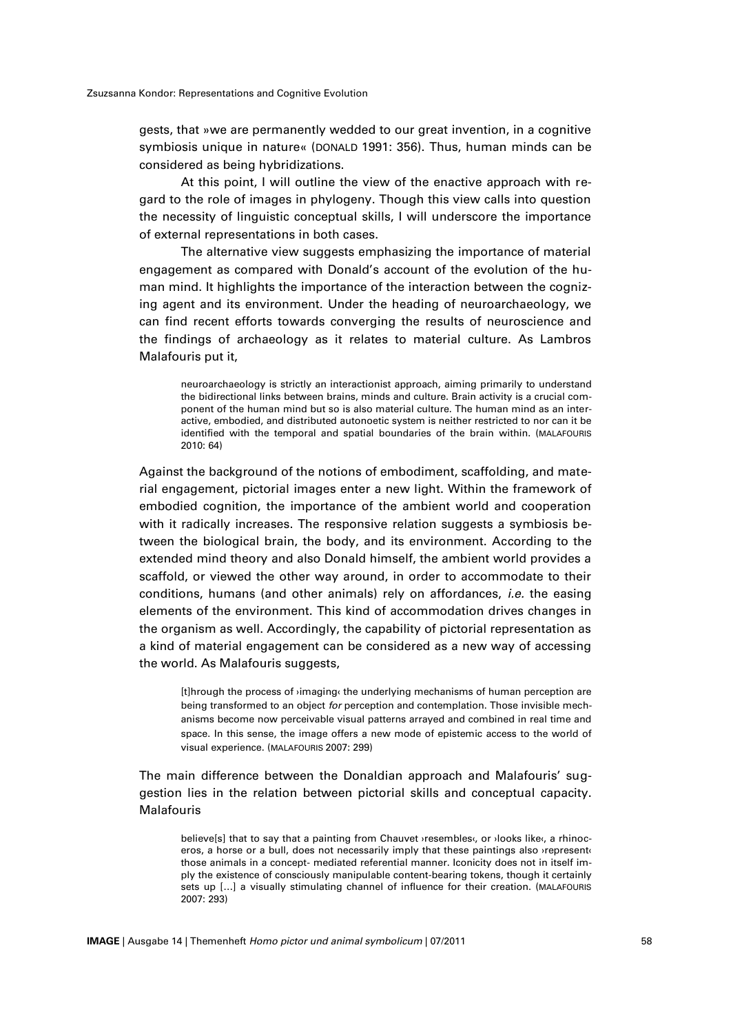gests, that »we are permanently wedded to our great invention, in a cognitive symbiosis unique in nature« (DONALD 1991: 356). Thus, human minds can be considered as being hybridizations.

At this point, I will outline the view of the enactive approach with regard to the role of images in phylogeny. Though this view calls into question the necessity of linguistic conceptual skills, I will underscore the importance of external representations in both cases.

The alternative view suggests emphasizing the importance of material engagement as compared with Donald's account of the evolution of the human mind. It highlights the importance of the interaction between the cognizing agent and its environment. Under the heading of neuroarchaeology, we can find recent efforts towards converging the results of neuroscience and the findings of archaeology as it relates to material culture. As Lambros Malafouris put it,

neuroarchaeology is strictly an interactionist approach, aiming primarily to understand the bidirectional links between brains, minds and culture. Brain activity is a crucial component of the human mind but so is also material culture. The human mind as an interactive, embodied, and distributed autonoetic system is neither restricted to nor can it be identified with the temporal and spatial boundaries of the brain within. (MALAFOURIS 2010: 64)

Against the background of the notions of embodiment, scaffolding, and material engagement, pictorial images enter a new light. Within the framework of embodied cognition, the importance of the ambient world and cooperation with it radically increases. The responsive relation suggests a symbiosis between the biological brain, the body, and its environment. According to the extended mind theory and also Donald himself, the ambient world provides a scaffold, or viewed the other way around, in order to accommodate to their conditions, humans (and other animals) rely on affordances, *i.e.* the easing elements of the environment. This kind of accommodation drives changes in the organism as well. Accordingly, the capability of pictorial representation as a kind of material engagement can be considered as a new way of accessing the world. As Malafouris suggests,

[t]hrough the process of ›imaging‹ the underlying mechanisms of human perception are being transformed to an object *for* perception and contemplation. Those invisible mechanisms become now perceivable visual patterns arrayed and combined in real time and space. In this sense, the image offers a new mode of epistemic access to the world of visual experience. (MALAFOURIS 2007: 299)

The main difference between the Donaldian approach and Malafouris' suggestion lies in the relation between pictorial skills and conceptual capacity. Malafouris

believe[s] that to say that a painting from Chauvet >resembles‹, or >looks like‹, a rhinoceros, a horse or a bull, does not necessarily imply that these paintings also *yrepresent* those animals in a concept- mediated referential manner. Iconicity does not in itself imply the existence of consciously manipulable content-bearing tokens, though it certainly sets up [...] a visually stimulating channel of influence for their creation. (MALAFOURIS 2007: 293)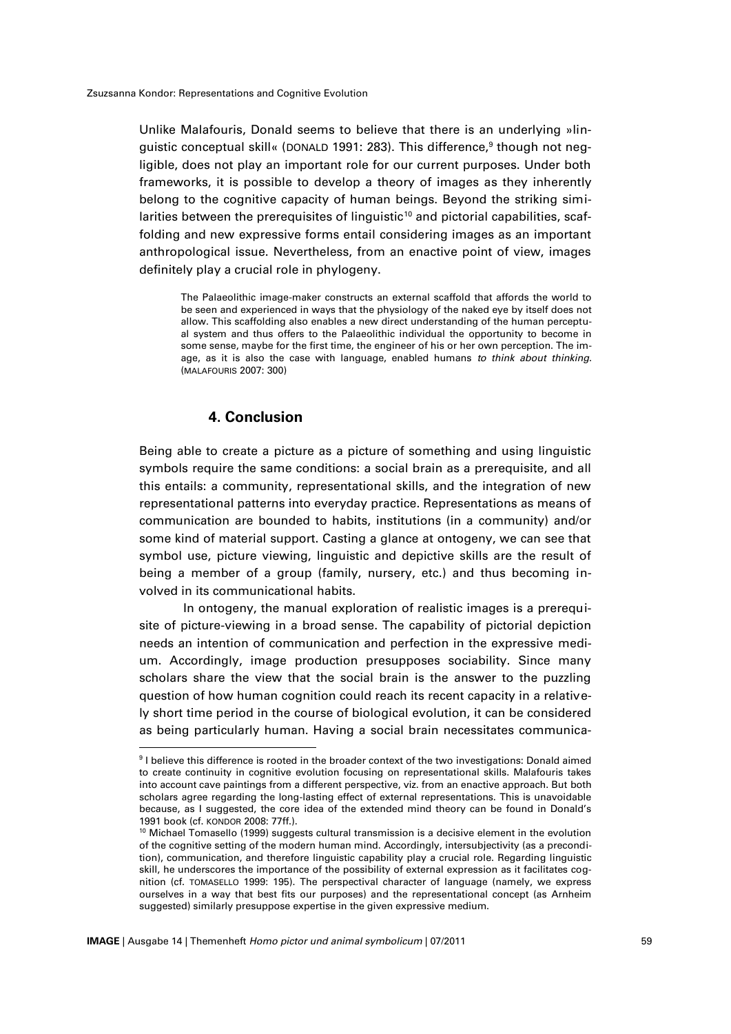Unlike Malafouris, Donald seems to believe that there is an underlying »linguistic conceptual skill« (DONALD 1991: 283). This difference,<sup>9</sup> though not negligible, does not play an important role for our current purposes. Under both frameworks, it is possible to develop a theory of images as they inherently belong to the cognitive capacity of human beings. Beyond the striking similarities between the prerequisites of linguistic $10$  and pictorial capabilities, scaffolding and new expressive forms entail considering images as an important anthropological issue. Nevertheless, from an enactive point of view, images definitely play a crucial role in phylogeny.

The Palaeolithic image-maker constructs an external scaffold that affords the world to be seen and experienced in ways that the physiology of the naked eye by itself does not allow. This scaffolding also enables a new direct understanding of the human perceptual system and thus offers to the Palaeolithic individual the opportunity to become in some sense, maybe for the first time, the engineer of his or her own perception. The image, as it is also the case with language, enabled humans *to think about thinking*. (MALAFOURIS 2007: 300)

### **4. Conclusion**

Being able to create a picture as a picture of something and using linguistic symbols require the same conditions: a social brain as a prerequisite, and all this entails: a community, representational skills, and the integration of new representational patterns into everyday practice. Representations as means of communication are bounded to habits, institutions (in a community) and/or some kind of material support. Casting a glance at ontogeny, we can see that symbol use, picture viewing, linguistic and depictive skills are the result of being a member of a group (family, nursery, etc.) and thus becoming involved in its communicational habits.

In ontogeny, the manual exploration of realistic images is a prerequisite of picture-viewing in a broad sense. The capability of pictorial depiction needs an intention of communication and perfection in the expressive medium. Accordingly, image production presupposes sociability. Since many scholars share the view that the social brain is the answer to the puzzling question of how human cognition could reach its recent capacity in a relatively short time period in the course of biological evolution, it can be considered as being particularly human. Having a social brain necessitates communica-

 $^{\rm 9}$  I believe this difference is rooted in the broader context of the two investigations: Donald aimed to create continuity in cognitive evolution focusing on representational skills. Malafouris takes into account cave paintings from a different perspective, viz. from an enactive approach. But both scholars agree regarding the long-lasting effect of external representations. This is unavoidable because, as I suggested, the core idea of the extended mind theory can be found in Donald's 1991 book (cf. KONDOR 2008: 77ff.).

<sup>&</sup>lt;sup>10</sup> Michael Tomasello (1999) suggests cultural transmission is a decisive element in the evolution of the cognitive setting of the modern human mind. Accordingly, intersubjectivity (as a precondition), communication, and therefore linguistic capability play a crucial role. Regarding linguistic skill, he underscores the importance of the possibility of external expression as it facilitates cognition (cf. TOMASELLO 1999: 195). The perspectival character of language (namely, we express ourselves in a way that best fits our purposes) and the representational concept (as Arnheim suggested) similarly presuppose expertise in the given expressive medium.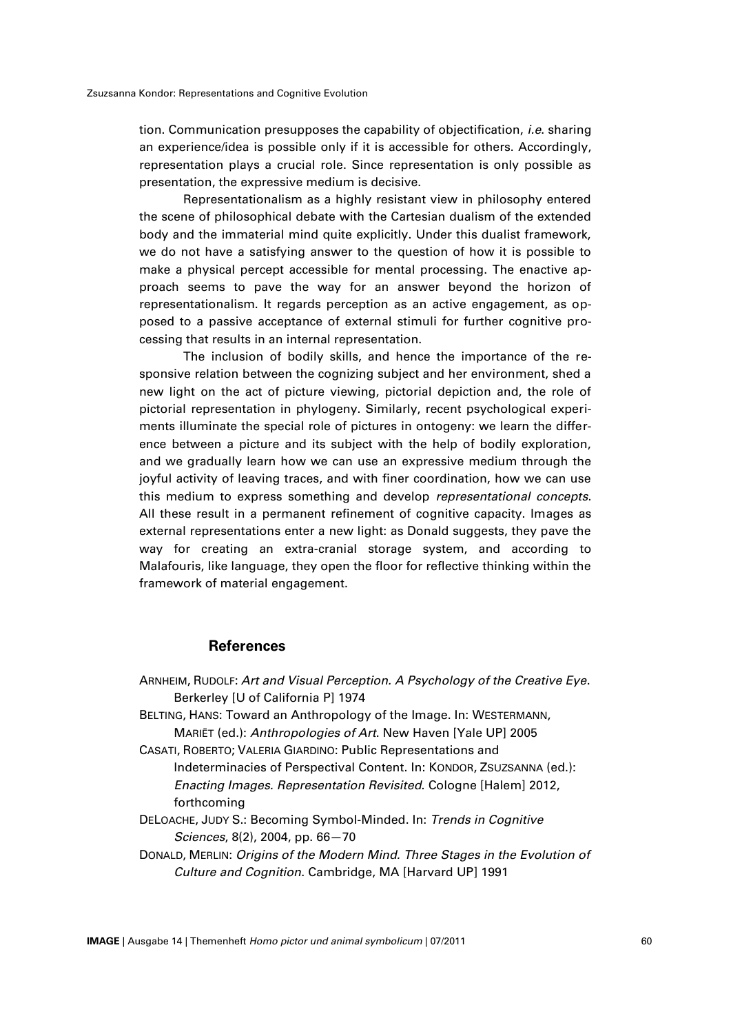tion. Communication presupposes the capability of objectification, *i.e*. sharing an experience/idea is possible only if it is accessible for others. Accordingly, representation plays a crucial role. Since representation is only possible as presentation, the expressive medium is decisive.

Representationalism as a highly resistant view in philosophy entered the scene of philosophical debate with the Cartesian dualism of the extended body and the immaterial mind quite explicitly. Under this dualist framework, we do not have a satisfying answer to the question of how it is possible to make a physical percept accessible for mental processing. The enactive approach seems to pave the way for an answer beyond the horizon of representationalism. It regards perception as an active engagement, as opposed to a passive acceptance of external stimuli for further cognitive processing that results in an internal representation.

The inclusion of bodily skills, and hence the importance of the responsive relation between the cognizing subject and her environment, shed a new light on the act of picture viewing, pictorial depiction and, the role of pictorial representation in phylogeny. Similarly, recent psychological experiments illuminate the special role of pictures in ontogeny: we learn the difference between a picture and its subject with the help of bodily exploration, and we gradually learn how we can use an expressive medium through the joyful activity of leaving traces, and with finer coordination, how we can use this medium to express something and develop *representational concepts*. All these result in a permanent refinement of cognitive capacity. Images as external representations enter a new light: as Donald suggests, they pave the way for creating an extra-cranial storage system, and according to Malafouris, like language, they open the floor for reflective thinking within the framework of material engagement.

#### **References**

ARNHEIM, RUDOLF: *Art and Visual Perception. A Psychology of the Creative Eye*. Berkerley [U of California P] 1974 BELTING, HANS: Toward an Anthropology of the Image. In: WESTERMANN, MARIËT (ed.): *Anthropologies of Art*. New Haven [Yale UP] 2005 CASATI, ROBERTO; VALERIA GIARDINO: Public Representations and Indeterminacies of Perspectival Content. In: KONDOR, ZSUZSANNA (ed.): *Enacting Images. Representation Revisited*. Cologne [Halem] 2012, forthcoming DELOACHE, JUDY S.: Becoming Symbol-Minded. In: *Trends in Cognitive* 

*Sciences*, 8(2), 2004, pp. 66—70 DONALD, MERLIN: *Origins of the Modern Mind. Three Stages in the Evolution of Culture and Cognition*. Cambridge, MA [Harvard UP] 1991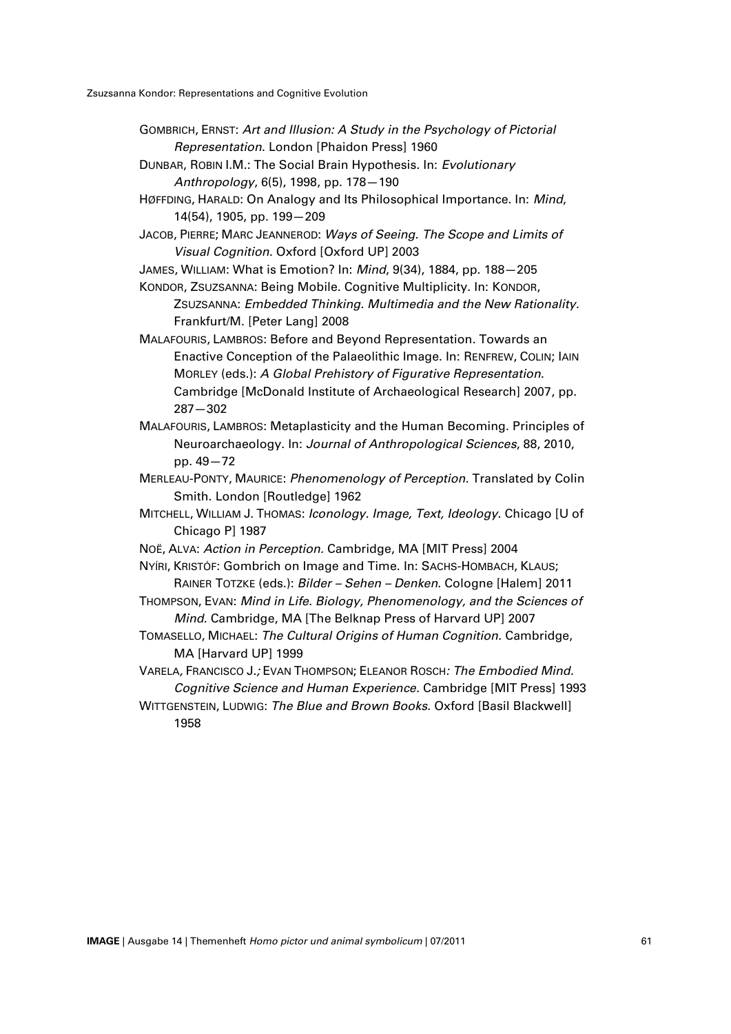- GOMBRICH, ERNST: *Art and Illusion: A Study in the Psychology of Pictorial Representation*. London [Phaidon Press] 1960
- DUNBAR, ROBIN I.M.: The Social Brain Hypothesis. In: *Evolutionary Anthropology*, 6(5), 1998, pp. 178—190
- HØFFDING, HARALD: On Analogy and Its Philosophical Importance. In: *Mind*, 14(54), 1905, pp. 199—209
- JACOB, PIERRE; MARC JEANNEROD: *Ways of Seeing. The Scope and Limits of Visual Cognition*. Oxford [Oxford UP] 2003

JAMES, WILLIAM: What is Emotion? In: *Mind*, 9(34), 1884, pp. 188—205

KONDOR, ZSUZSANNA: Being Mobile. Cognitive Multiplicity. In: KONDOR, ZSUZSANNA: *Embedded Thinking. Multimedia and the New Rationality*.

Frankfurt/M. [Peter Lang] 2008

- MALAFOURIS, LAMBROS: Before and Beyond Representation. Towards an Enactive Conception of the Palaeolithic Image. In: RENFREW, COLIN; IAIN MORLEY (eds.): *A Global Prehistory of Figurative Representation.*  Cambridge [McDonald Institute of Archaeological Research] 2007, pp. 287—302
- MALAFOURIS, LAMBROS: Metaplasticity and the Human Becoming. Principles of Neuroarchaeology. In: *Journal of Anthropological Sciences*, 88, 2010, pp. 49—72
- MERLEAU-PONTY, MAURICE: *Phenomenology of Perception*. Translated by Colin Smith. London [Routledge] 1962
- MITCHELL, WILLIAM J. THOMAS: *Iconology. Image, Text, Ideology*. Chicago [U of Chicago P] 1987
- NOË, ALVA: *Action in Perception.* Cambridge, MA [MIT Press] 2004
- NYÍRI, KRISTÓF: Gombrich on Image and Time. In: SACHS-HOMBACH, KLAUS; RAINER TOTZKE (eds.): *Bilder – Sehen – Denken*. Cologne [Halem] 2011
- THOMPSON, EVAN: *Mind in Life. Biology, Phenomenology, and the Sciences of Mind*. Cambridge, MA [The Belknap Press of Harvard UP] 2007
- TOMASELLO, MICHAEL: *The Cultural Origins of Human Cognition.* Cambridge, MA [Harvard UP] 1999

VARELA*,* FRANCISCO J.*;* EVAN THOMPSON; ELEANOR ROSCH*: The Embodied Mind. Cognitive Science and Human Experience.* Cambridge [MIT Press] 1993

WITTGENSTEIN, LUDWIG: *The Blue and Brown Books.* Oxford [Basil Blackwell] 1958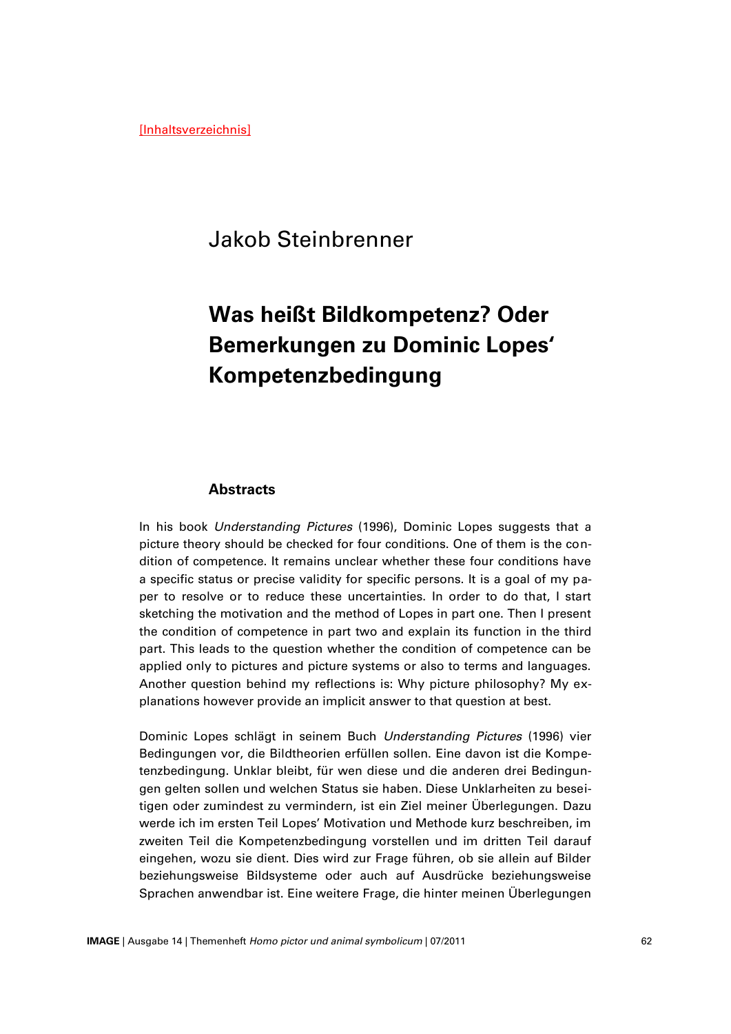[Inhaltsverzeichnis]

# Jakob Steinbrenner

# **Was heißt Bildkompetenz? Oder Bemerkungen zu Dominic Lopes' Kompetenzbedingung**

#### **Abstracts**

In his book *Understanding Pictures* (1996), Dominic Lopes suggests that a picture theory should be checked for four conditions. One of them is the condition of competence. It remains unclear whether these four conditions have a specific status or precise validity for specific persons. It is a goal of my paper to resolve or to reduce these uncertainties. In order to do that, I start sketching the motivation and the method of Lopes in part one. Then I present the condition of competence in part two and explain its function in the third part. This leads to the question whether the condition of competence can be applied only to pictures and picture systems or also to terms and languages. Another question behind my reflections is: Why picture philosophy? My explanations however provide an implicit answer to that question at best.

Dominic Lopes schlägt in seinem Buch *Understanding Pictures* (1996) vier Bedingungen vor, die Bildtheorien erfüllen sollen. Eine davon ist die Kompetenzbedingung. Unklar bleibt, für wen diese und die anderen drei Bedingungen gelten sollen und welchen Status sie haben. Diese Unklarheiten zu beseitigen oder zumindest zu vermindern, ist ein Ziel meiner Überlegungen. Dazu werde ich im ersten Teil Lopes' Motivation und Methode kurz beschreiben, im zweiten Teil die Kompetenzbedingung vorstellen und im dritten Teil darauf eingehen, wozu sie dient. Dies wird zur Frage führen, ob sie allein auf Bilder beziehungsweise Bildsysteme oder auch auf Ausdrücke beziehungsweise Sprachen anwendbar ist. Eine weitere Frage, die hinter meinen Überlegungen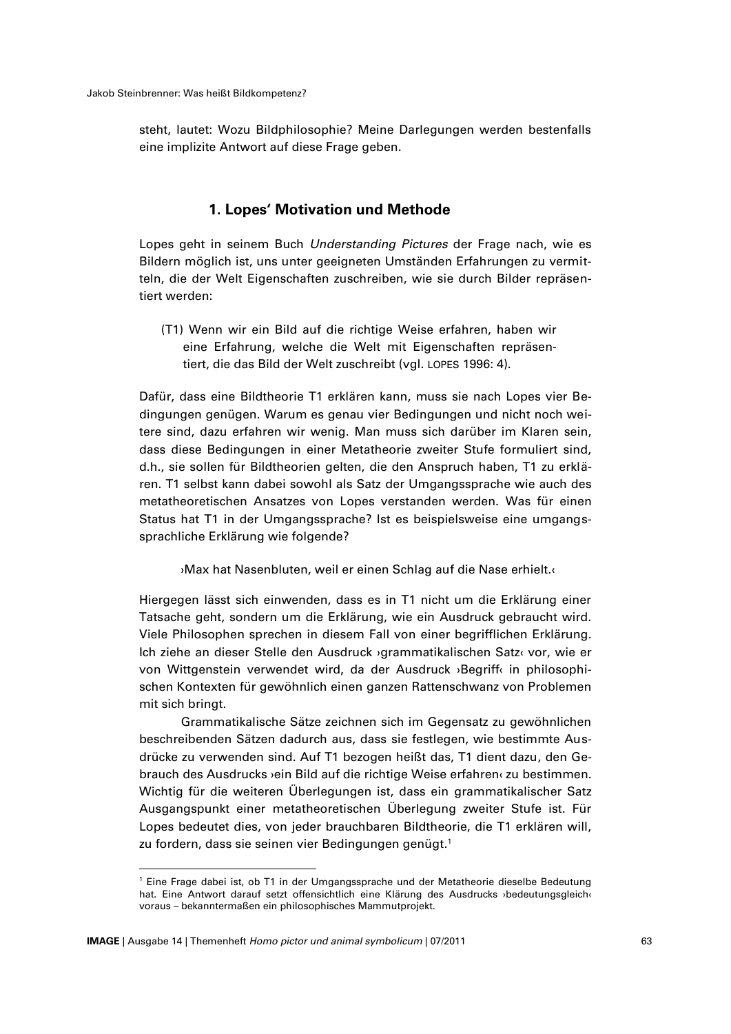steht, lautet: Wozu Bildphilosophie? Meine Darlegungen werden bestenfalls eine implizite Antwort auf diese Frage geben.

#### **1. Lopes' Motivation und Methode**

Lopes geht in seinem Buch *Understanding Pictures* der Frage nach, wie es Bildern möglich ist, uns unter geeigneten Umständen Erfahrungen zu vermitteln, die der Welt Eigenschaften zuschreiben, wie sie durch Bilder repräsentiert werden:

(T1) Wenn wir ein Bild auf die richtige Weise erfahren, haben wir eine Erfahrung, welche die Welt mit Eigenschaften repräsentiert, die das Bild der Welt zuschreibt (vgl. LOPES 1996: 4).

Dafür, dass eine Bildtheorie T1 erklären kann, muss sie nach Lopes vier Bedingungen genügen. Warum es genau vier Bedingungen und nicht noch weitere sind, dazu erfahren wir wenig. Man muss sich darüber im Klaren sein, dass diese Bedingungen in einer Metatheorie zweiter Stufe formuliert sind, d.h., sie sollen für Bildtheorien gelten, die den Anspruch haben, T1 zu erklären. T1 selbst kann dabei sowohl als Satz der Umgangssprache wie auch des metatheoretischen Ansatzes von Lopes verstanden werden. Was für einen Status hat T1 in der Umgangssprache? Ist es beispielsweise eine umgangssprachliche Erklärung wie folgende?

›Max hat Nasenbluten, weil er einen Schlag auf die Nase erhielt.‹

Hiergegen lässt sich einwenden, dass es in T1 nicht um die Erklärung einer Tatsache geht, sondern um die Erklärung, wie ein Ausdruck gebraucht wird. Viele Philosophen sprechen in diesem Fall von einer begrifflichen Erklärung. Ich ziehe an dieser Stelle den Ausdruck ›grammatikalischen Satz‹ vor, wie er von Wittgenstein verwendet wird, da der Ausdruck ›Begriff‹ in philosophischen Kontexten für gewöhnlich einen ganzen Rattenschwanz von Problemen mit sich bringt.

Grammatikalische Sätze zeichnen sich im Gegensatz zu gewöhnlichen beschreibenden Sätzen dadurch aus, dass sie festlegen, wie bestimmte Ausdrücke zu verwenden sind. Auf T1 bezogen heißt das, T1 dient dazu, den Gebrauch des Ausdrucks ›ein Bild auf die richtige Weise erfahren‹ zu bestimmen. Wichtig für die weiteren Überlegungen ist, dass ein grammatikalischer Satz Ausgangspunkt einer metatheoretischen Überlegung zweiter Stufe ist. Für Lopes bedeutet dies, von jeder brauchbaren Bildtheorie, die T1 erklären will, zu fordern, dass sie seinen vier Bedingungen genügt. 1

<sup>1</sup> Eine Frage dabei ist, ob T1 in der Umgangssprache und der Metatheorie dieselbe Bedeutung hat. Eine Antwort darauf setzt offensichtlich eine Klärung des Ausdrucks ›bedeutungsgleich‹ voraus – bekanntermaßen ein philosophisches Mammutprojekt.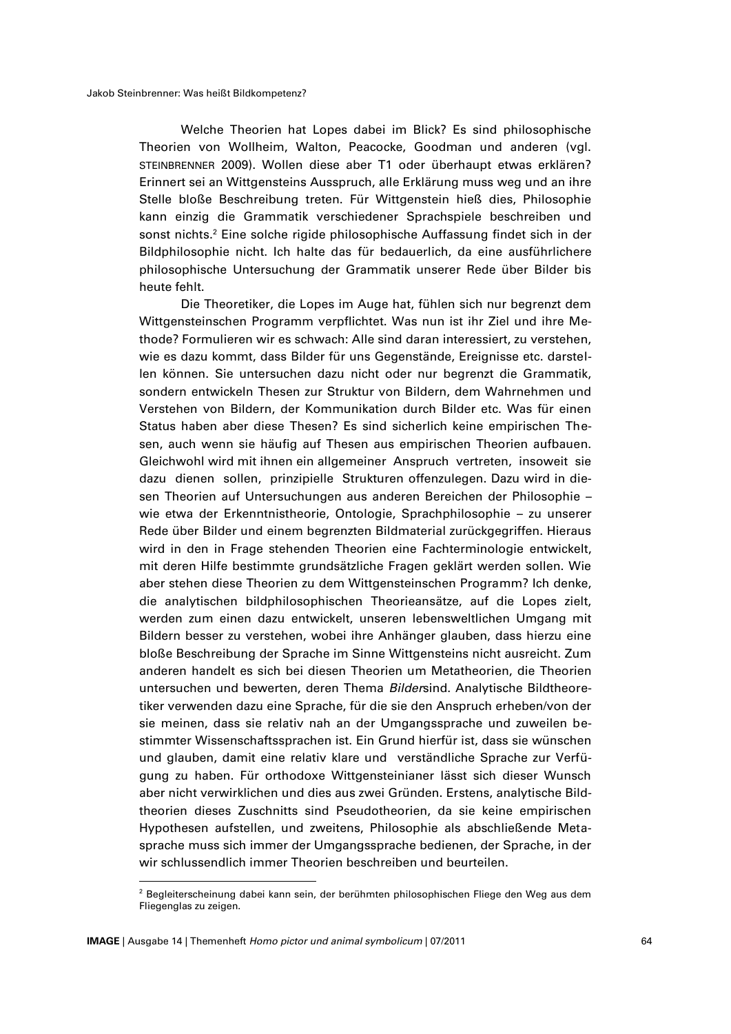Welche Theorien hat Lopes dabei im Blick? Es sind philosophische Theorien von Wollheim, Walton, Peacocke, Goodman und anderen (vgl. STEINBRENNER 2009). Wollen diese aber T1 oder überhaupt etwas erklären? Erinnert sei an Wittgensteins Ausspruch, alle Erklärung muss weg und an ihre Stelle bloße Beschreibung treten. Für Wittgenstein hieß dies, Philosophie kann einzig die Grammatik verschiedener Sprachspiele beschreiben und sonst nichts. <sup>2</sup> Eine solche rigide philosophische Auffassung findet sich in der Bildphilosophie nicht. Ich halte das für bedauerlich, da eine ausführlichere philosophische Untersuchung der Grammatik unserer Rede über Bilder bis heute fehlt.

Die Theoretiker, die Lopes im Auge hat, fühlen sich nur begrenzt dem Wittgensteinschen Programm verpflichtet. Was nun ist ihr Ziel und ihre Methode? Formulieren wir es schwach: Alle sind daran interessiert, zu verstehen, wie es dazu kommt, dass Bilder für uns Gegenstände, Ereignisse etc. darstellen können. Sie untersuchen dazu nicht oder nur begrenzt die Grammatik, sondern entwickeln Thesen zur Struktur von Bildern, dem Wahrnehmen und Verstehen von Bildern, der Kommunikation durch Bilder etc. Was für einen Status haben aber diese Thesen? Es sind sicherlich keine empirischen Thesen, auch wenn sie häufig auf Thesen aus empirischen Theorien aufbauen. Gleichwohl wird mit ihnen ein allgemeiner Anspruch vertreten, insoweit sie dazu dienen sollen, prinzipielle Strukturen offenzulegen. Dazu wird in diesen Theorien auf Untersuchungen aus anderen Bereichen der Philosophie – wie etwa der Erkenntnistheorie, Ontologie, Sprachphilosophie – zu unserer Rede über Bilder und einem begrenzten Bildmaterial zurückgegriffen. Hieraus wird in den in Frage stehenden Theorien eine Fachterminologie entwickelt, mit deren Hilfe bestimmte grundsätzliche Fragen geklärt werden sollen. Wie aber stehen diese Theorien zu dem Wittgensteinschen Programm? Ich denke, die analytischen bildphilosophischen Theorieansätze, auf die Lopes zielt, werden zum einen dazu entwickelt, unseren lebensweltlichen Umgang mit Bildern besser zu verstehen, wobei ihre Anhänger glauben, dass hierzu eine bloße Beschreibung der Sprache im Sinne Wittgensteins nicht ausreicht. Zum anderen handelt es sich bei diesen Theorien um Metatheorien, die Theorien untersuchen und bewerten, deren Thema *Bilder*sind. Analytische Bildtheoretiker verwenden dazu eine Sprache, für die sie den Anspruch erheben/von der sie meinen, dass sie relativ nah an der Umgangssprache und zuweilen bestimmter Wissenschaftssprachen ist. Ein Grund hierfür ist, dass sie wünschen und glauben, damit eine relativ klare und verständliche Sprache zur Verfügung zu haben. Für orthodoxe Wittgensteinianer lässt sich dieser Wunsch aber nicht verwirklichen und dies aus zwei Gründen. Erstens, analytische Bildtheorien dieses Zuschnitts sind Pseudotheorien, da sie keine empirischen Hypothesen aufstellen, und zweitens, Philosophie als abschließende Metasprache muss sich immer der Umgangssprache bedienen, der Sprache, in der wir schlussendlich immer Theorien beschreiben und beurteilen.

<sup>&</sup>lt;sup>2</sup> Begleiterscheinung dabei kann sein, der berühmten philosophischen Fliege den Weg aus dem Fliegenglas zu zeigen.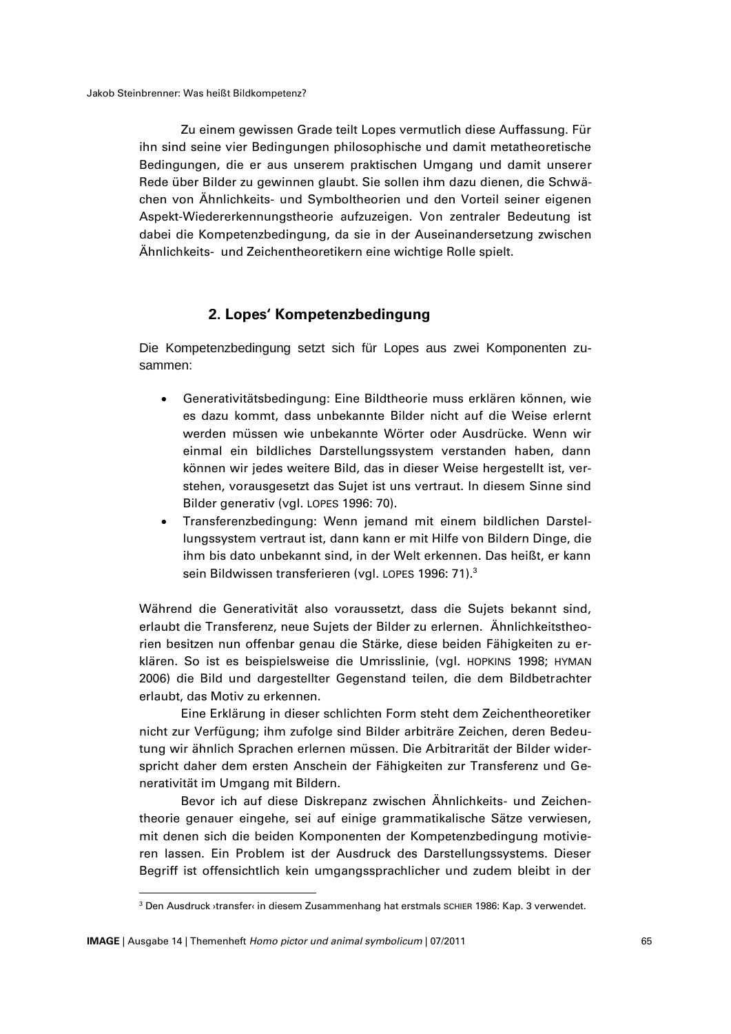Zu einem gewissen Grade teilt Lopes vermutlich diese Auffassung. Für ihn sind seine vier Bedingungen philosophische und damit metatheoretische Bedingungen, die er aus unserem praktischen Umgang und damit unserer Rede über Bilder zu gewinnen glaubt. Sie sollen ihm dazu dienen, die Schwächen von Ähnlichkeits- und Symboltheorien und den Vorteil seiner eigenen Aspekt-Wiedererkennungstheorie aufzuzeigen. Von zentraler Bedeutung ist dabei die Kompetenzbedingung, da sie in der Auseinandersetzung zwischen Ähnlichkeits- und Zeichentheoretikern eine wichtige Rolle spielt.

### **2. Lopes' Kompetenzbedingung**

Die Kompetenzbedingung setzt sich für Lopes aus zwei Komponenten zusammen:

- Generativitätsbedingung: Eine Bildtheorie muss erklären können, wie es dazu kommt, dass unbekannte Bilder nicht auf die Weise erlernt werden müssen wie unbekannte Wörter oder Ausdrücke. Wenn wir einmal ein bildliches Darstellungssystem verstanden haben, dann können wir jedes weitere Bild, das in dieser Weise hergestellt ist, verstehen, vorausgesetzt das Sujet ist uns vertraut. In diesem Sinne sind Bilder generativ (vgl. LOPES 1996: 70).
- Transferenzbedingung: Wenn jemand mit einem bildlichen Darstellungssystem vertraut ist, dann kann er mit Hilfe von Bildern Dinge, die ihm bis dato unbekannt sind, in der Welt erkennen. Das heißt, er kann sein Bildwissen transferieren (vgl. LOPES 1996: 71). 3

Während die Generativität also voraussetzt, dass die Sujets bekannt sind, erlaubt die Transferenz, neue Sujets der Bilder zu erlernen. Ähnlichkeitstheorien besitzen nun offenbar genau die Stärke, diese beiden Fähigkeiten zu erklären. So ist es beispielsweise die Umrisslinie, (vgl. HOPKINS 1998; HYMAN 2006) die Bild und dargestellter Gegenstand teilen, die dem Bildbetrachter erlaubt, das Motiv zu erkennen.

Eine Erklärung in dieser schlichten Form steht dem Zeichentheoretiker nicht zur Verfügung; ihm zufolge sind Bilder arbiträre Zeichen, deren Bedeutung wir ähnlich Sprachen erlernen müssen. Die Arbitrarität der Bilder widerspricht daher dem ersten Anschein der Fähigkeiten zur Transferenz und Generativität im Umgang mit Bildern.

Bevor ich auf diese Diskrepanz zwischen Ähnlichkeits- und Zeichentheorie genauer eingehe, sei auf einige grammatikalische Sätze verwiesen, mit denen sich die beiden Komponenten der Kompetenzbedingung motivieren lassen. Ein Problem ist der Ausdruck des Darstellungssystems. Dieser Begriff ist offensichtlich kein umgangssprachlicher und zudem bleibt in der

<sup>&</sup>lt;sup>3</sup> Den Ausdruck ›transfer‹ in diesem Zusammenhang hat erstmals SCHIER 1986: Kap. 3 verwendet.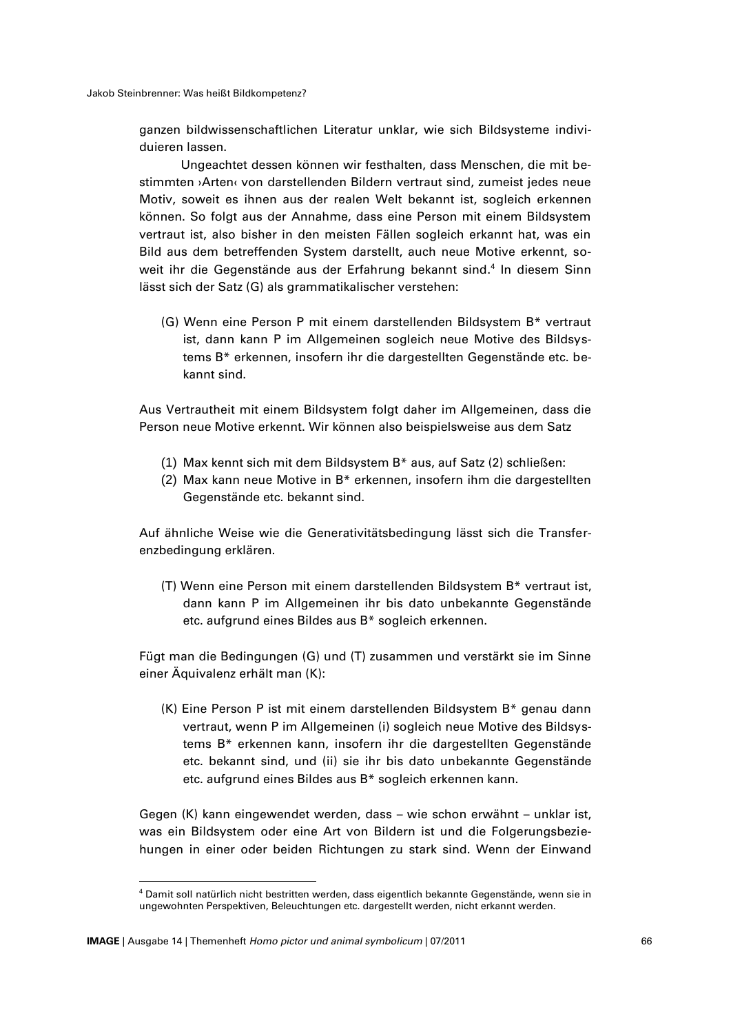ganzen bildwissenschaftlichen Literatur unklar, wie sich Bildsysteme individuieren lassen.

Ungeachtet dessen können wir festhalten, dass Menschen, die mit bestimmten ›Arten‹ von darstellenden Bildern vertraut sind, zumeist jedes neue Motiv, soweit es ihnen aus der realen Welt bekannt ist, sogleich erkennen können. So folgt aus der Annahme, dass eine Person mit einem Bildsystem vertraut ist, also bisher in den meisten Fällen sogleich erkannt hat, was ein Bild aus dem betreffenden System darstellt, auch neue Motive erkennt, soweit ihr die Gegenstände aus der Erfahrung bekannt sind. 4 In diesem Sinn lässt sich der Satz (G) als grammatikalischer verstehen:

(G) Wenn eine Person P mit einem darstellenden Bildsystem B\* vertraut ist, dann kann P im Allgemeinen sogleich neue Motive des Bildsystems B\* erkennen, insofern ihr die dargestellten Gegenstände etc. bekannt sind.

Aus Vertrautheit mit einem Bildsystem folgt daher im Allgemeinen, dass die Person neue Motive erkennt. Wir können also beispielsweise aus dem Satz

- (1) Max kennt sich mit dem Bildsystem B\* aus, auf Satz (2) schließen:
- (2) Max kann neue Motive in B\* erkennen, insofern ihm die dargestellten Gegenstände etc. bekannt sind.

Auf ähnliche Weise wie die Generativitätsbedingung lässt sich die Transferenzbedingung erklären.

(T) Wenn eine Person mit einem darstellenden Bildsystem B\* vertraut ist, dann kann P im Allgemeinen ihr bis dato unbekannte Gegenstände etc. aufgrund eines Bildes aus B\* sogleich erkennen.

Fügt man die Bedingungen (G) und (T) zusammen und verstärkt sie im Sinne einer Äquivalenz erhält man (K):

(K) Eine Person P ist mit einem darstellenden Bildsystem B\* genau dann vertraut, wenn P im Allgemeinen (i) sogleich neue Motive des Bildsystems B\* erkennen kann, insofern ihr die dargestellten Gegenstände etc. bekannt sind, und (ii) sie ihr bis dato unbekannte Gegenstände etc. aufgrund eines Bildes aus B\* sogleich erkennen kann.

Gegen (K) kann eingewendet werden, dass – wie schon erwähnt – unklar ist, was ein Bildsystem oder eine Art von Bildern ist und die Folgerungsbeziehungen in einer oder beiden Richtungen zu stark sind. Wenn der Einwand

<sup>4</sup> Damit soll natürlich nicht bestritten werden, dass eigentlich bekannte Gegenstände, wenn sie in ungewohnten Perspektiven, Beleuchtungen etc. dargestellt werden, nicht erkannt werden.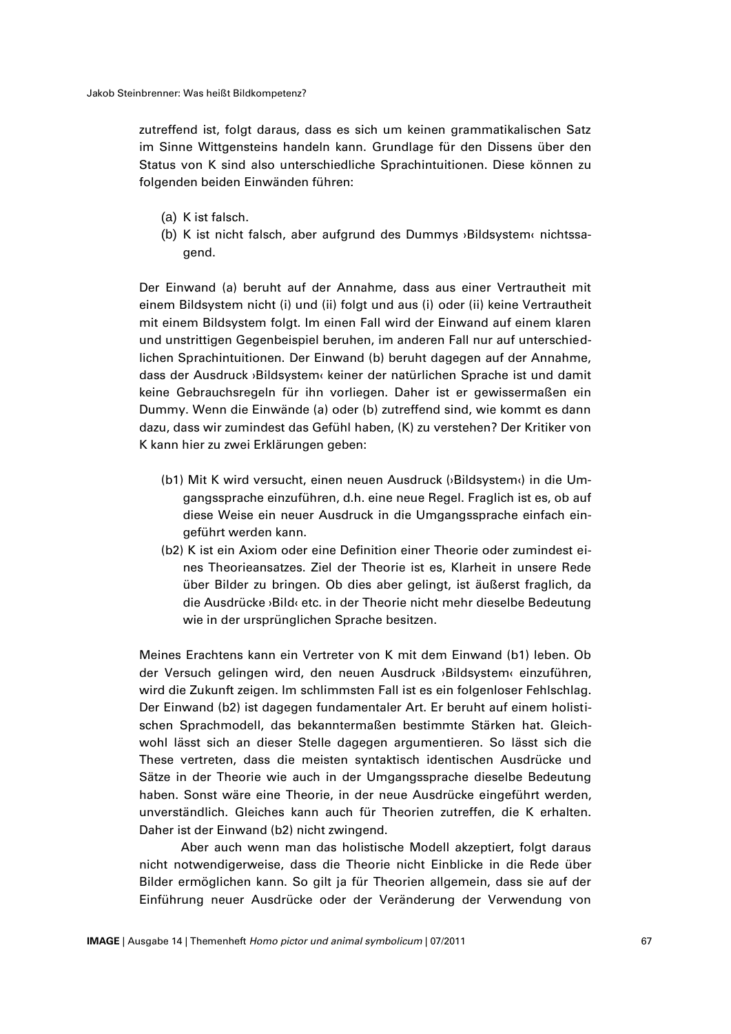zutreffend ist, folgt daraus, dass es sich um keinen grammatikalischen Satz im Sinne Wittgensteins handeln kann. Grundlage für den Dissens über den Status von K sind also unterschiedliche Sprachintuitionen. Diese können zu folgenden beiden Einwänden führen:

- (a) K ist falsch.
- (b) K ist nicht falsch, aber aufgrund des Dummys ›Bildsystem‹ nichtssagend.

Der Einwand (a) beruht auf der Annahme, dass aus einer Vertrautheit mit einem Bildsystem nicht (i) und (ii) folgt und aus (i) oder (ii) keine Vertrautheit mit einem Bildsystem folgt. Im einen Fall wird der Einwand auf einem klaren und unstrittigen Gegenbeispiel beruhen, im anderen Fall nur auf unterschiedlichen Sprachintuitionen. Der Einwand (b) beruht dagegen auf der Annahme, dass der Ausdruck ›Bildsystem‹ keiner der natürlichen Sprache ist und damit keine Gebrauchsregeln für ihn vorliegen. Daher ist er gewissermaßen ein Dummy. Wenn die Einwände (a) oder (b) zutreffend sind, wie kommt es dann dazu, dass wir zumindest das Gefühl haben, (K) zu verstehen? Der Kritiker von K kann hier zu zwei Erklärungen geben:

- (b1) Mit K wird versucht, einen neuen Ausdruck (›Bildsystem‹) in die Umgangssprache einzuführen, d.h. eine neue Regel. Fraglich ist es, ob auf diese Weise ein neuer Ausdruck in die Umgangssprache einfach eingeführt werden kann.
- (b2) K ist ein Axiom oder eine Definition einer Theorie oder zumindest eines Theorieansatzes. Ziel der Theorie ist es, Klarheit in unsere Rede über Bilder zu bringen. Ob dies aber gelingt, ist äußerst fraglich, da die Ausdrücke ›Bild‹ etc. in der Theorie nicht mehr dieselbe Bedeutung wie in der ursprünglichen Sprache besitzen.

Meines Erachtens kann ein Vertreter von K mit dem Einwand (b1) leben. Ob der Versuch gelingen wird, den neuen Ausdruck ›Bildsystem‹ einzuführen, wird die Zukunft zeigen. Im schlimmsten Fall ist es ein folgenloser Fehlschlag. Der Einwand (b2) ist dagegen fundamentaler Art. Er beruht auf einem holistischen Sprachmodell, das bekanntermaßen bestimmte Stärken hat. Gleichwohl lässt sich an dieser Stelle dagegen argumentieren. So lässt sich die These vertreten, dass die meisten syntaktisch identischen Ausdrücke und Sätze in der Theorie wie auch in der Umgangssprache dieselbe Bedeutung haben. Sonst wäre eine Theorie, in der neue Ausdrücke eingeführt werden, unverständlich. Gleiches kann auch für Theorien zutreffen, die K erhalten. Daher ist der Einwand (b2) nicht zwingend.

Aber auch wenn man das holistische Modell akzeptiert, folgt daraus nicht notwendigerweise, dass die Theorie nicht Einblicke in die Rede über Bilder ermöglichen kann. So gilt ja für Theorien allgemein, dass sie auf der Einführung neuer Ausdrücke oder der Veränderung der Verwendung von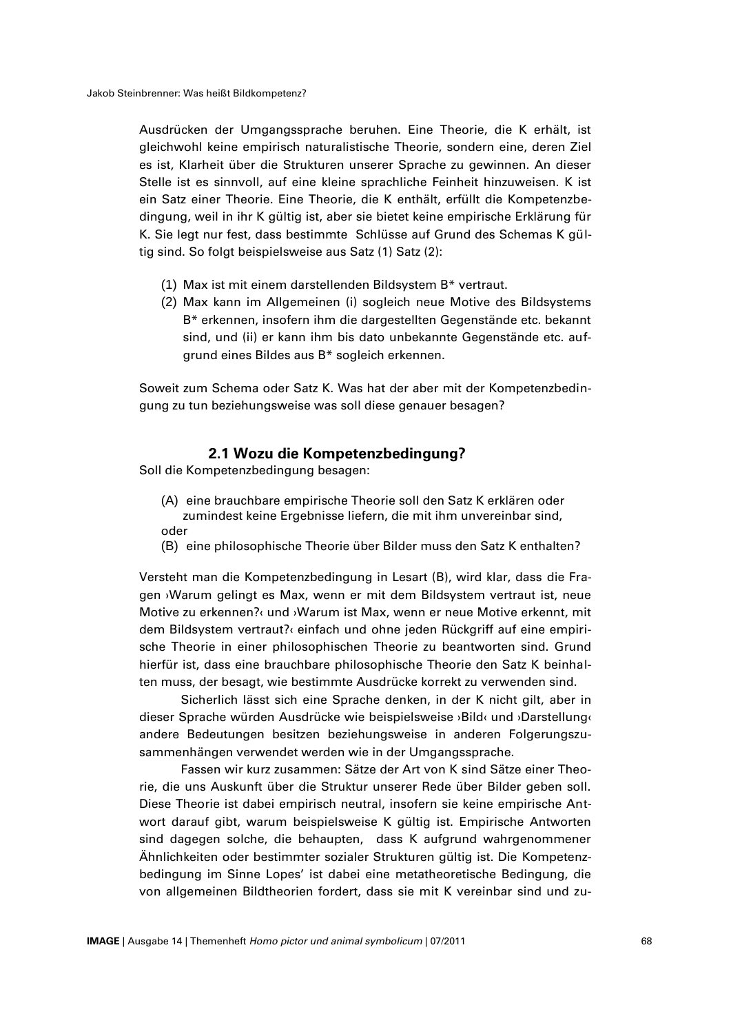Ausdrücken der Umgangssprache beruhen. Eine Theorie, die K erhält, ist gleichwohl keine empirisch naturalistische Theorie, sondern eine, deren Ziel es ist, Klarheit über die Strukturen unserer Sprache zu gewinnen. An dieser Stelle ist es sinnvoll, auf eine kleine sprachliche Feinheit hinzuweisen. K ist ein Satz einer Theorie. Eine Theorie, die K enthält, erfüllt die Kompetenzbedingung, weil in ihr K gültig ist, aber sie bietet keine empirische Erklärung für K. Sie legt nur fest, dass bestimmte Schlüsse auf Grund des Schemas K gültig sind. So folgt beispielsweise aus Satz (1) Satz (2):

- (1) Max ist mit einem darstellenden Bildsystem B\* vertraut.
- (2) Max kann im Allgemeinen (i) sogleich neue Motive des Bildsystems B\* erkennen, insofern ihm die dargestellten Gegenstände etc. bekannt sind, und (ii) er kann ihm bis dato unbekannte Gegenstände etc. aufgrund eines Bildes aus B\* sogleich erkennen.

Soweit zum Schema oder Satz K. Was hat der aber mit der Kompetenzbedingung zu tun beziehungsweise was soll diese genauer besagen?

### **2.1 Wozu die Kompetenzbedingung?**

Soll die Kompetenzbedingung besagen:

- (A) eine brauchbare empirische Theorie soll den Satz K erklären oder zumindest keine Ergebnisse liefern, die mit ihm unvereinbar sind, oder
- (B) eine philosophische Theorie über Bilder muss den Satz K enthalten?

Versteht man die Kompetenzbedingung in Lesart (B), wird klar, dass die Fragen ›Warum gelingt es Max, wenn er mit dem Bildsystem vertraut ist, neue Motive zu erkennen?‹ und ›Warum ist Max, wenn er neue Motive erkennt, mit dem Bildsystem vertraut?‹ einfach und ohne jeden Rückgriff auf eine empirische Theorie in einer philosophischen Theorie zu beantworten sind. Grund hierfür ist, dass eine brauchbare philosophische Theorie den Satz K beinhalten muss, der besagt, wie bestimmte Ausdrücke korrekt zu verwenden sind.

Sicherlich lässt sich eine Sprache denken, in der K nicht gilt, aber in dieser Sprache würden Ausdrücke wie beispielsweise ›Bild‹ und ›Darstellung‹ andere Bedeutungen besitzen beziehungsweise in anderen Folgerungszusammenhängen verwendet werden wie in der Umgangssprache.

Fassen wir kurz zusammen: Sätze der Art von K sind Sätze einer Theorie, die uns Auskunft über die Struktur unserer Rede über Bilder geben soll. Diese Theorie ist dabei empirisch neutral, insofern sie keine empirische Antwort darauf gibt, warum beispielsweise K gültig ist. Empirische Antworten sind dagegen solche, die behaupten, dass K aufgrund wahrgenommener Ähnlichkeiten oder bestimmter sozialer Strukturen gültig ist. Die Kompetenzbedingung im Sinne Lopes' ist dabei eine metatheoretische Bedingung, die von allgemeinen Bildtheorien fordert, dass sie mit K vereinbar sind und zu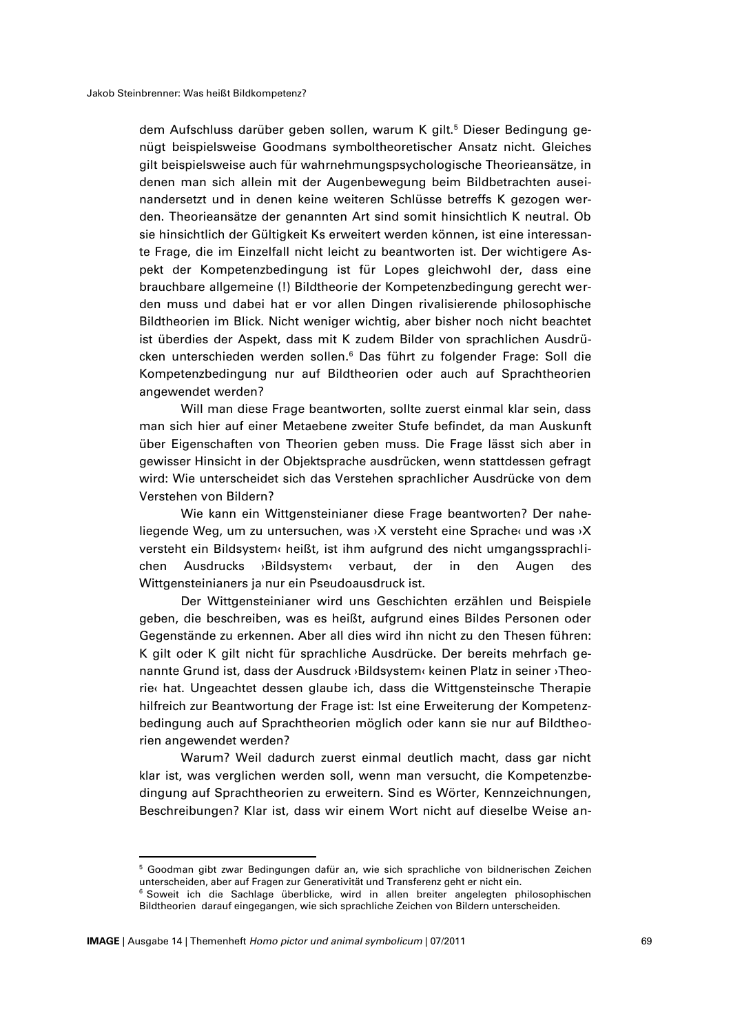dem Aufschluss darüber geben sollen, warum K gilt.<sup>5</sup> Dieser Bedingung genügt beispielsweise Goodmans symboltheoretischer Ansatz nicht. Gleiches gilt beispielsweise auch für wahrnehmungspsychologische Theorieansätze, in denen man sich allein mit der Augenbewegung beim Bildbetrachten auseinandersetzt und in denen keine weiteren Schlüsse betreffs K gezogen werden. Theorieansätze der genannten Art sind somit hinsichtlich K neutral. Ob sie hinsichtlich der Gültigkeit Ks erweitert werden können, ist eine interessante Frage, die im Einzelfall nicht leicht zu beantworten ist. Der wichtigere Aspekt der Kompetenzbedingung ist für Lopes gleichwohl der, dass eine brauchbare allgemeine (!) Bildtheorie der Kompetenzbedingung gerecht werden muss und dabei hat er vor allen Dingen rivalisierende philosophische Bildtheorien im Blick. Nicht weniger wichtig, aber bisher noch nicht beachtet ist überdies der Aspekt, dass mit K zudem Bilder von sprachlichen Ausdrücken unterschieden werden sollen. <sup>6</sup> Das führt zu folgender Frage: Soll die Kompetenzbedingung nur auf Bildtheorien oder auch auf Sprachtheorien angewendet werden?

Will man diese Frage beantworten, sollte zuerst einmal klar sein, dass man sich hier auf einer Metaebene zweiter Stufe befindet, da man Auskunft über Eigenschaften von Theorien geben muss. Die Frage lässt sich aber in gewisser Hinsicht in der Objektsprache ausdrücken, wenn stattdessen gefragt wird: Wie unterscheidet sich das Verstehen sprachlicher Ausdrücke von dem Verstehen von Bildern?

Wie kann ein Wittgensteinianer diese Frage beantworten? Der naheliegende Weg, um zu untersuchen, was ›X versteht eine Sprache‹ und was ›X versteht ein Bildsystem‹ heißt, ist ihm aufgrund des nicht umgangssprachlichen Ausdrucks ›Bildsystem‹ verbaut, der in den Augen des Wittgensteinianers ja nur ein Pseudoausdruck ist.

Der Wittgensteinianer wird uns Geschichten erzählen und Beispiele geben, die beschreiben, was es heißt, aufgrund eines Bildes Personen oder Gegenstände zu erkennen. Aber all dies wird ihn nicht zu den Thesen führen: K gilt oder K gilt nicht für sprachliche Ausdrücke. Der bereits mehrfach genannte Grund ist, dass der Ausdruck ›Bildsystem‹ keinen Platz in seiner ›Theorie‹ hat. Ungeachtet dessen glaube ich, dass die Wittgensteinsche Therapie hilfreich zur Beantwortung der Frage ist: Ist eine Erweiterung der Kompetenzbedingung auch auf Sprachtheorien möglich oder kann sie nur auf Bildtheorien angewendet werden?

Warum? Weil dadurch zuerst einmal deutlich macht, dass gar nicht klar ist, was verglichen werden soll, wenn man versucht, die Kompetenzbedingung auf Sprachtheorien zu erweitern. Sind es Wörter, Kennzeichnungen, Beschreibungen? Klar ist, dass wir einem Wort nicht auf dieselbe Weise an-

<sup>5</sup> Goodman gibt zwar Bedingungen dafür an, wie sich sprachliche von bildnerischen Zeichen unterscheiden, aber auf Fragen zur Generativität und Transferenz geht er nicht ein.

<sup>&</sup>lt;sup>6</sup> Soweit ich die Sachlage überblicke, wird in allen breiter angelegten philosophischen Bildtheorien darauf eingegangen, wie sich sprachliche Zeichen von Bildern unterscheiden.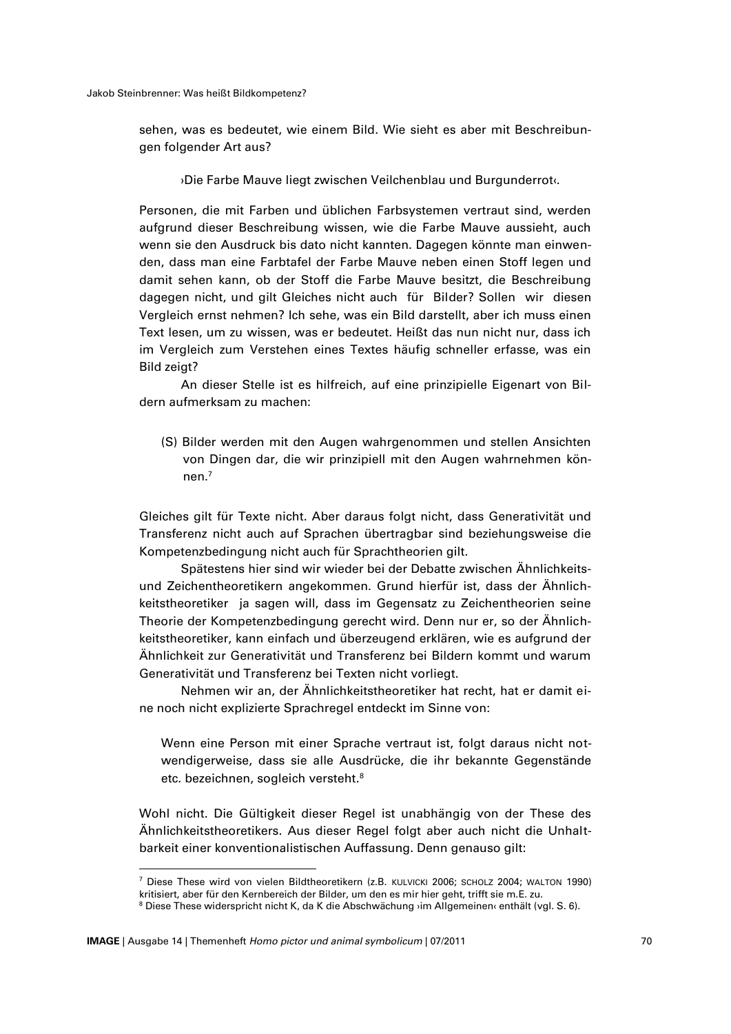#### Jakob Steinbrenner: Was heißt Bildkompetenz?

sehen, was es bedeutet, wie einem Bild. Wie sieht es aber mit Beschreibungen folgender Art aus?

›Die Farbe Mauve liegt zwischen Veilchenblau und Burgunderrot‹.

Personen, die mit Farben und üblichen Farbsystemen vertraut sind, werden aufgrund dieser Beschreibung wissen, wie die Farbe Mauve aussieht, auch wenn sie den Ausdruck bis dato nicht kannten. Dagegen könnte man einwenden, dass man eine Farbtafel der Farbe Mauve neben einen Stoff legen und damit sehen kann, ob der Stoff die Farbe Mauve besitzt, die Beschreibung dagegen nicht, und gilt Gleiches nicht auch für Bilder? Sollen wir diesen Vergleich ernst nehmen? Ich sehe, was ein Bild darstellt, aber ich muss einen Text lesen, um zu wissen, was er bedeutet. Heißt das nun nicht nur, dass ich im Vergleich zum Verstehen eines Textes häufig schneller erfasse, was ein Bild zeigt?

An dieser Stelle ist es hilfreich, auf eine prinzipielle Eigenart von Bildern aufmerksam zu machen:

(S) Bilder werden mit den Augen wahrgenommen und stellen Ansichten von Dingen dar, die wir prinzipiell mit den Augen wahrnehmen können.<sup>7</sup>

Gleiches gilt für Texte nicht. Aber daraus folgt nicht, dass Generativität und Transferenz nicht auch auf Sprachen übertragbar sind beziehungsweise die Kompetenzbedingung nicht auch für Sprachtheorien gilt.

Spätestens hier sind wir wieder bei der Debatte zwischen Ähnlichkeitsund Zeichentheoretikern angekommen. Grund hierfür ist, dass der Ähnlichkeitstheoretiker ja sagen will, dass im Gegensatz zu Zeichentheorien seine Theorie der Kompetenzbedingung gerecht wird. Denn nur er, so der Ähnlichkeitstheoretiker, kann einfach und überzeugend erklären, wie es aufgrund der Ähnlichkeit zur Generativität und Transferenz bei Bildern kommt und warum Generativität und Transferenz bei Texten nicht vorliegt.

Nehmen wir an, der Ähnlichkeitstheoretiker hat recht, hat er damit eine noch nicht explizierte Sprachregel entdeckt im Sinne von:

Wenn eine Person mit einer Sprache vertraut ist, folgt daraus nicht notwendigerweise, dass sie alle Ausdrücke, die ihr bekannte Gegenstände etc. bezeichnen, sogleich versteht. 8

Wohl nicht. Die Gültigkeit dieser Regel ist unabhängig von der These des Ähnlichkeitstheoretikers. Aus dieser Regel folgt aber auch nicht die Unhaltbarkeit einer konventionalistischen Auffassung. Denn genauso gilt:

<sup>7</sup> Diese These wird von vielen Bildtheoretikern (z.B. KULVICKI 2006; SCHOLZ 2004; WALTON 1990) kritisiert, aber für den Kernbereich der Bilder, um den es mir hier geht, trifft sie m.E. zu.

<sup>8</sup> Diese These widerspricht nicht K, da K die Abschwächung >im Allgemeinen‹ enthält (vgl. S. 6).